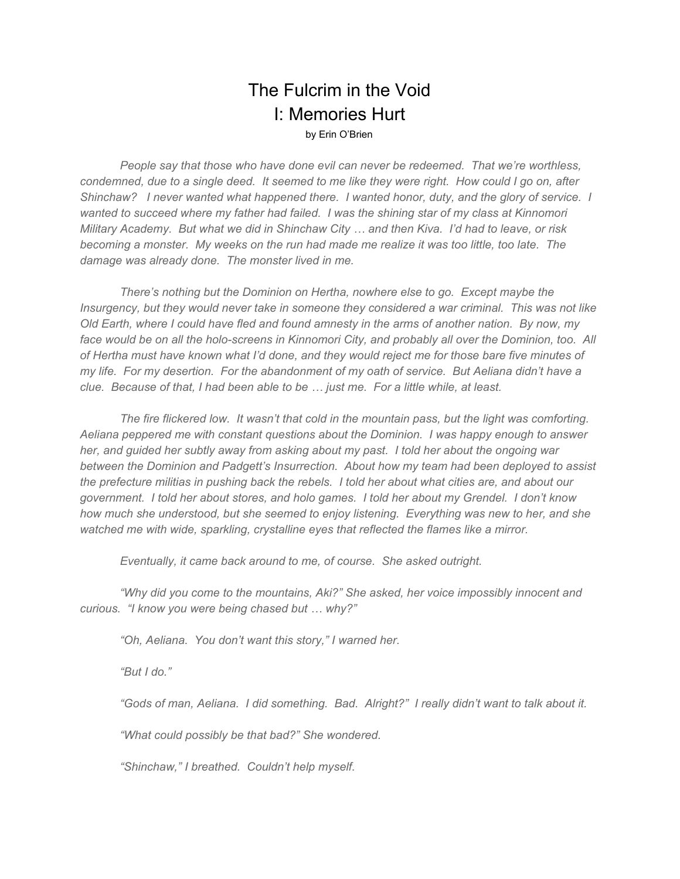# The Fulcrim in the Void I: Memories Hurt by Erin O'Brien

*People say that those who have done evil can never be redeemed. That we're worthless, condemned, due to a single deed. It seemed to me like they were right. How could I go on, after Shinchaw? I never wanted what happened there. I wanted honor, duty, and the glory of service. I wanted to succeed where my father had failed. I was the shining star of my class at Kinnomori Military Academy. But what we did in Shinchaw City … and then Kiva. I'd had to leave, or risk becoming a monster. My weeks on the run had made me realize it was too little, too late. The damage was already done. The monster lived in me.*

*There's nothing but the Dominion on Hertha, nowhere else to go. Except maybe the Insurgency, but they would never take in someone they considered a war criminal. This was not like Old Earth, where I could have fled and found amnesty in the arms of another nation. By now, my face would be on all the holo-screens in Kinnomori City, and probably all over the Dominion, too. All of Hertha must have known what I'd done, and they would reject me for those bare five minutes of my life. For my desertion. For the abandonment of my oath of service. But Aeliana didn't have a clue. Because of that, I had been able to be … just me. For a little while, at least.*

*The fire flickered low. It wasn't that cold in the mountain pass, but the light was comforting. Aeliana peppered me with constant questions about the Dominion. I was happy enough to answer her, and guided her subtly away from asking about my past. I told her about the ongoing war between the Dominion and Padgett's Insurrection. About how my team had been deployed to assist the prefecture militias in pushing back the rebels. I told her about what cities are, and about our government. I told her about stores, and holo games. I told her about my Grendel. I don't know how much she understood, but she seemed to enjoy listening. Everything was new to her, and she watched me with wide, sparkling, crystalline eyes that reflected the flames like a mirror.*

*Eventually, it came back around to me, of course. She asked outright.*

*"Why did you come to the mountains, Aki?" She asked, her voice impossibly innocent and curious. "I know you were being chased but … why?"*

*"Oh, Aeliana. You don't want this story," I warned her.*

*"But I do."*

*"Gods of man, Aeliana. I did something. Bad. Alright?" I really didn't want to talk about it.*

*"What could possibly be that bad?" She wondered.*

*"Shinchaw," I breathed. Couldn't help myself.*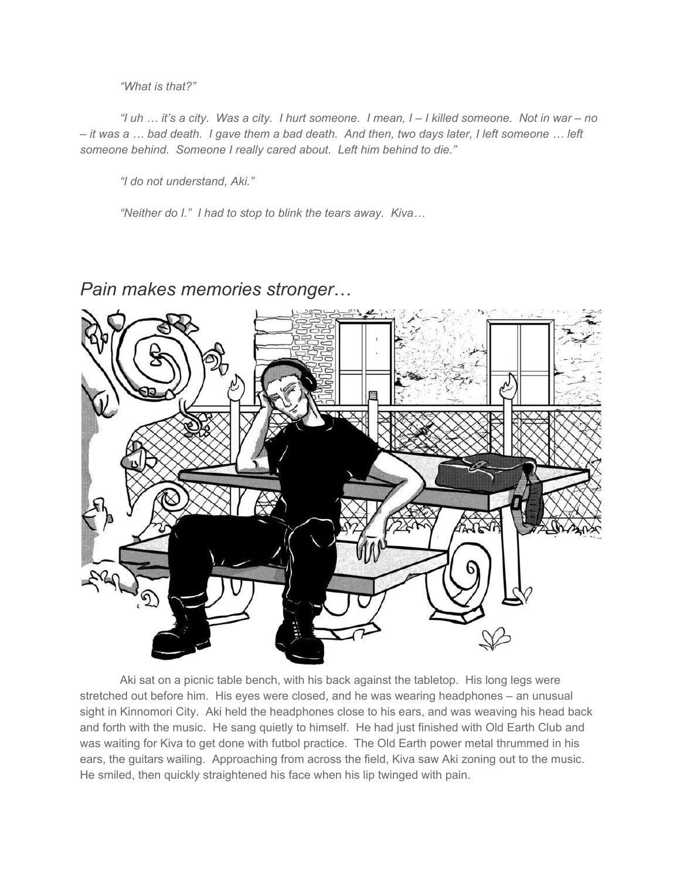*"What is that?"*

*"I uh … it's a city. Was a city. I hurt someone. I mean, I – I killed someone. Not in war – no – it was a … bad death. I gave them a bad death. And then, two days later, I left someone … left someone behind. Someone I really cared about. Left him behind to die."*

*"I do not understand, Aki."*

*"Neither do I." I had to stop to blink the tears away. Kiva…*

## *Pain makes memories stronger*…



Aki sat on a picnic table bench, with his back against the tabletop. His long legs were stretched out before him. His eyes were closed, and he was wearing headphones – an unusual sight in Kinnomori City. Aki held the headphones close to his ears, and was weaving his head back and forth with the music. He sang quietly to himself. He had just finished with Old Earth Club and was waiting for Kiva to get done with futbol practice. The Old Earth power metal thrummed in his ears, the guitars wailing. Approaching from across the field, Kiva saw Aki zoning out to the music. He smiled, then quickly straightened his face when his lip twinged with pain.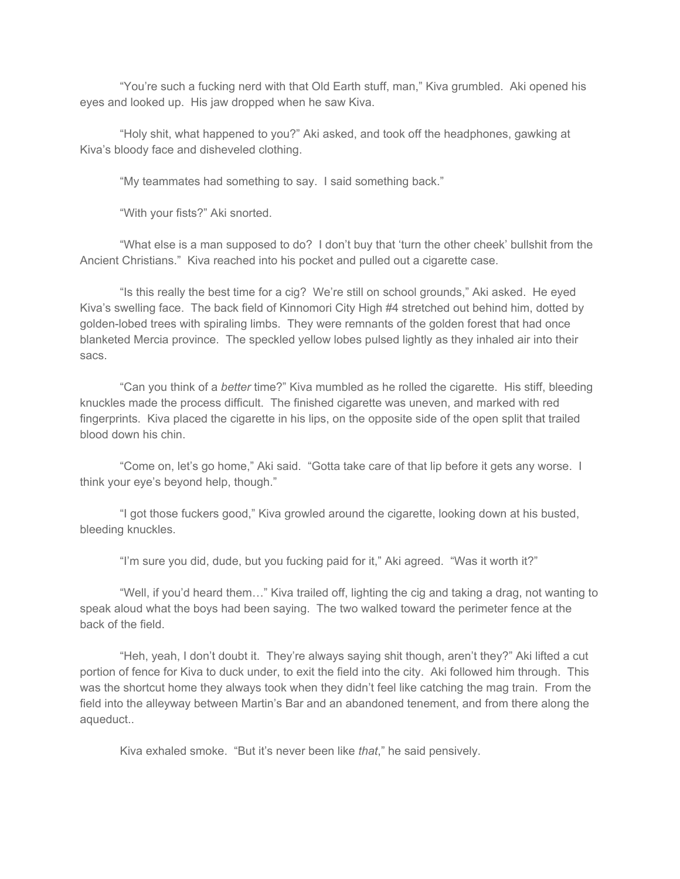"You're such a fucking nerd with that Old Earth stuff, man," Kiva grumbled. Aki opened his eyes and looked up. His jaw dropped when he saw Kiva.

"Holy shit, what happened to you?" Aki asked, and took off the headphones, gawking at Kiva's bloody face and disheveled clothing.

"My teammates had something to say. I said something back."

"With your fists?" Aki snorted.

"What else is a man supposed to do? I don't buy that 'turn the other cheek' bullshit from the Ancient Christians." Kiva reached into his pocket and pulled out a cigarette case.

"Is this really the best time for a cig? We're still on school grounds," Aki asked. He eyed Kiva's swelling face. The back field of Kinnomori City High #4 stretched out behind him, dotted by golden-lobed trees with spiraling limbs. They were remnants of the golden forest that had once blanketed Mercia province. The speckled yellow lobes pulsed lightly as they inhaled air into their sacs.

"Can you think of a *better* time?" Kiva mumbled as he rolled the cigarette. His stiff, bleeding knuckles made the process difficult. The finished cigarette was uneven, and marked with red fingerprints. Kiva placed the cigarette in his lips, on the opposite side of the open split that trailed blood down his chin.

"Come on, let's go home," Aki said. "Gotta take care of that lip before it gets any worse. I think your eye's beyond help, though."

"I got those fuckers good," Kiva growled around the cigarette, looking down at his busted, bleeding knuckles.

"I'm sure you did, dude, but you fucking paid for it," Aki agreed. "Was it worth it?"

"Well, if you'd heard them…" Kiva trailed off, lighting the cig and taking a drag, not wanting to speak aloud what the boys had been saying. The two walked toward the perimeter fence at the back of the field.

"Heh, yeah, I don't doubt it. They're always saying shit though, aren't they?" Aki lifted a cut portion of fence for Kiva to duck under, to exit the field into the city. Aki followed him through. This was the shortcut home they always took when they didn't feel like catching the mag train. From the field into the alleyway between Martin's Bar and an abandoned tenement, and from there along the aqueduct..

Kiva exhaled smoke. "But it's never been like *that*," he said pensively.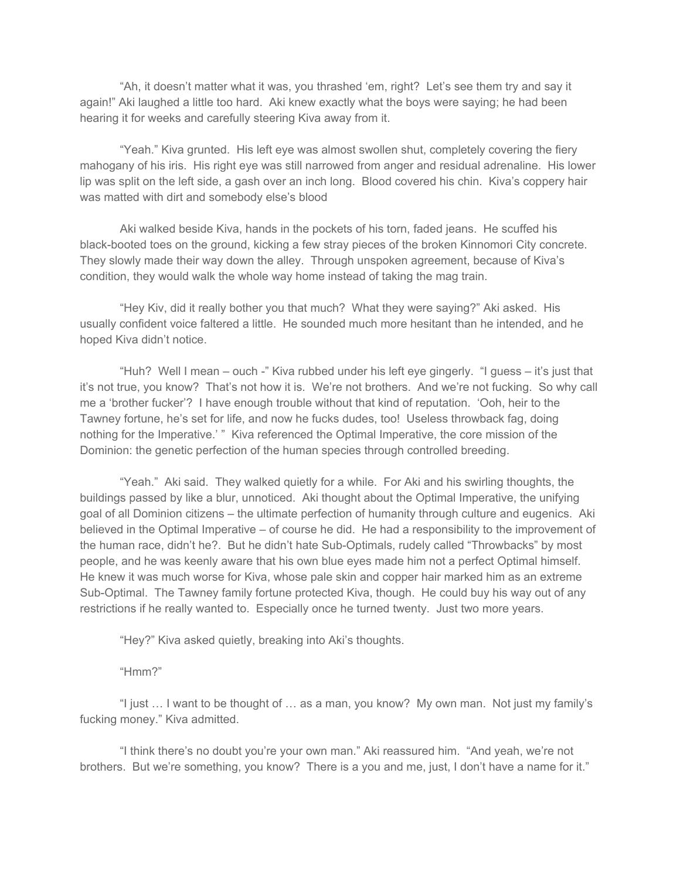"Ah, it doesn't matter what it was, you thrashed 'em, right? Let's see them try and say it again!" Aki laughed a little too hard. Aki knew exactly what the boys were saying; he had been hearing it for weeks and carefully steering Kiva away from it.

"Yeah." Kiva grunted. His left eye was almost swollen shut, completely covering the fiery mahogany of his iris. His right eye was still narrowed from anger and residual adrenaline. His lower lip was split on the left side, a gash over an inch long. Blood covered his chin. Kiva's coppery hair was matted with dirt and somebody else's blood

Aki walked beside Kiva, hands in the pockets of his torn, faded jeans. He scuffed his black-booted toes on the ground, kicking a few stray pieces of the broken Kinnomori City concrete. They slowly made their way down the alley. Through unspoken agreement, because of Kiva's condition, they would walk the whole way home instead of taking the mag train.

"Hey Kiv, did it really bother you that much? What they were saying?" Aki asked. His usually confident voice faltered a little. He sounded much more hesitant than he intended, and he hoped Kiva didn't notice.

"Huh? Well I mean – ouch -" Kiva rubbed under his left eye gingerly. "I guess – it's just that it's not true, you know? That's not how it is. We're not brothers. And we're not fucking. So why call me a 'brother fucker'? I have enough trouble without that kind of reputation. 'Ooh, heir to the Tawney fortune, he's set for life, and now he fucks dudes, too! Useless throwback fag, doing nothing for the Imperative.' " Kiva referenced the Optimal Imperative, the core mission of the Dominion: the genetic perfection of the human species through controlled breeding.

"Yeah." Aki said. They walked quietly for a while. For Aki and his swirling thoughts, the buildings passed by like a blur, unnoticed. Aki thought about the Optimal Imperative, the unifying goal of all Dominion citizens – the ultimate perfection of humanity through culture and eugenics. Aki believed in the Optimal Imperative – of course he did. He had a responsibility to the improvement of the human race, didn't he?. But he didn't hate Sub-Optimals, rudely called "Throwbacks" by most people, and he was keenly aware that his own blue eyes made him not a perfect Optimal himself. He knew it was much worse for Kiva, whose pale skin and copper hair marked him as an extreme Sub-Optimal. The Tawney family fortune protected Kiva, though. He could buy his way out of any restrictions if he really wanted to. Especially once he turned twenty. Just two more years.

"Hey?" Kiva asked quietly, breaking into Aki's thoughts.

#### "Hmm?"

"I just … I want to be thought of … as a man, you know? My own man. Not just my family's fucking money." Kiva admitted.

"I think there's no doubt you're your own man." Aki reassured him. "And yeah, we're not brothers. But we're something, you know? There is a you and me, just, I don't have a name for it."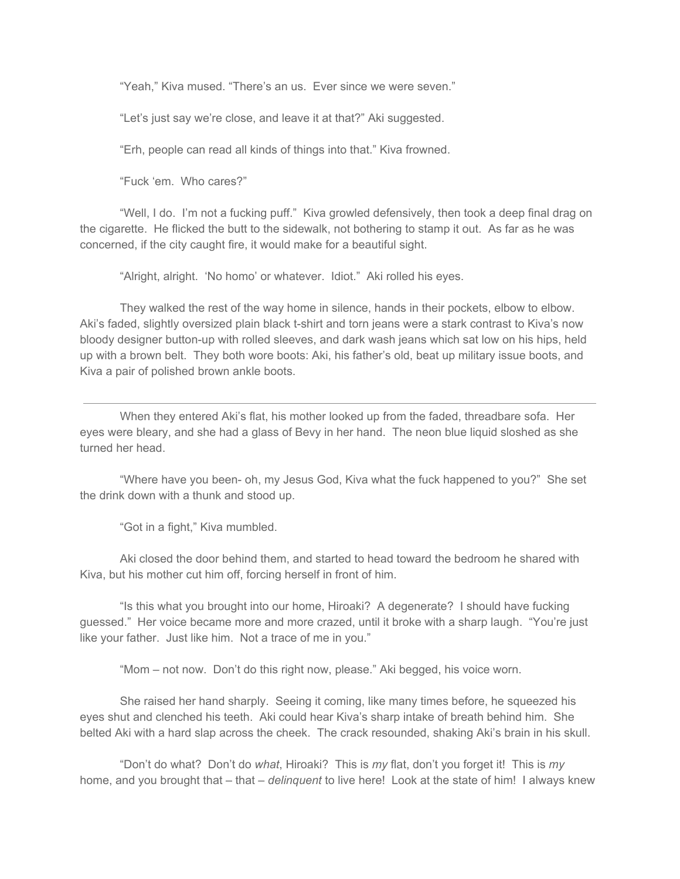"Yeah," Kiva mused. "There's an us. Ever since we were seven."

"Let's just say we're close, and leave it at that?" Aki suggested.

"Erh, people can read all kinds of things into that." Kiva frowned.

"Fuck 'em. Who cares?"

"Well, I do. I'm not a fucking puff." Kiva growled defensively, then took a deep final drag on the cigarette. He flicked the butt to the sidewalk, not bothering to stamp it out. As far as he was concerned, if the city caught fire, it would make for a beautiful sight.

"Alright, alright. 'No homo' or whatever. Idiot." Aki rolled his eyes.

They walked the rest of the way home in silence, hands in their pockets, elbow to elbow. Aki's faded, slightly oversized plain black t-shirt and torn jeans were a stark contrast to Kiva's now bloody designer button-up with rolled sleeves, and dark wash jeans which sat low on his hips, held up with a brown belt. They both wore boots: Aki, his father's old, beat up military issue boots, and Kiva a pair of polished brown ankle boots.

When they entered Aki's flat, his mother looked up from the faded, threadbare sofa. Her eyes were bleary, and she had a glass of Bevy in her hand. The neon blue liquid sloshed as she turned her head.

"Where have you been- oh, my Jesus God, Kiva what the fuck happened to you?" She set the drink down with a thunk and stood up.

"Got in a fight," Kiva mumbled.

Aki closed the door behind them, and started to head toward the bedroom he shared with Kiva, but his mother cut him off, forcing herself in front of him.

"Is this what you brought into our home, Hiroaki? A degenerate? I should have fucking guessed." Her voice became more and more crazed, until it broke with a sharp laugh. "You're just like your father. Just like him. Not a trace of me in you."

"Mom – not now. Don't do this right now, please." Aki begged, his voice worn.

She raised her hand sharply. Seeing it coming, like many times before, he squeezed his eyes shut and clenched his teeth. Aki could hear Kiva's sharp intake of breath behind him. She belted Aki with a hard slap across the cheek. The crack resounded, shaking Aki's brain in his skull.

"Don't do what? Don't do *what*, Hiroaki? This is *my* flat, don't you forget it! This is *my* home, and you brought that – that – *delinquent* to live here! Look at the state of him! I always knew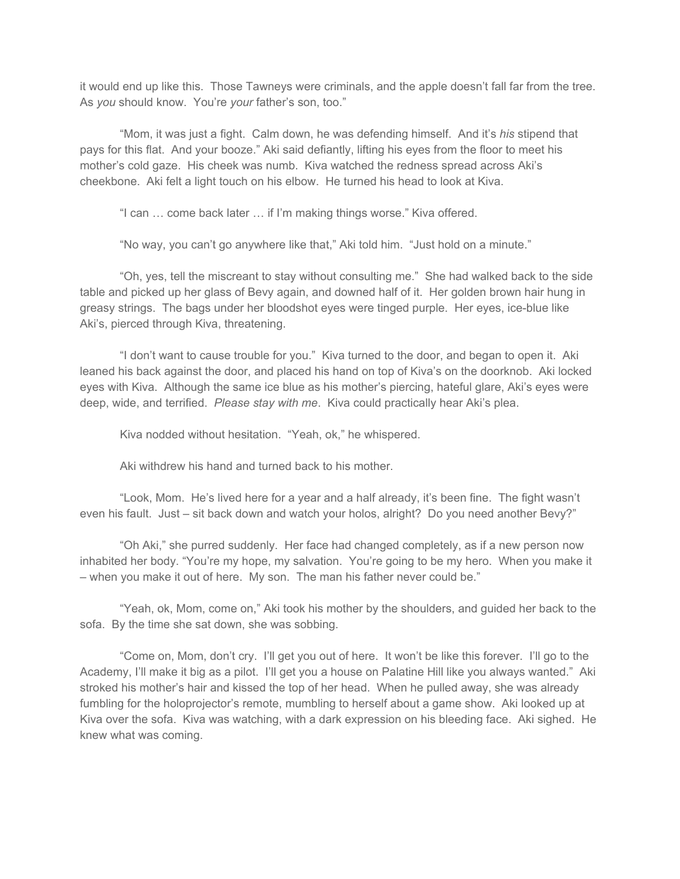it would end up like this. Those Tawneys were criminals, and the apple doesn't fall far from the tree. As *you* should know. You're *your* father's son, too."

"Mom, it was just a fight. Calm down, he was defending himself. And it's *his* stipend that pays for this flat. And your booze." Aki said defiantly, lifting his eyes from the floor to meet his mother's cold gaze. His cheek was numb. Kiva watched the redness spread across Aki's cheekbone. Aki felt a light touch on his elbow. He turned his head to look at Kiva.

"I can … come back later … if I'm making things worse." Kiva offered.

"No way, you can't go anywhere like that," Aki told him. "Just hold on a minute."

"Oh, yes, tell the miscreant to stay without consulting me." She had walked back to the side table and picked up her glass of Bevy again, and downed half of it. Her golden brown hair hung in greasy strings. The bags under her bloodshot eyes were tinged purple. Her eyes, ice-blue like Aki's, pierced through Kiva, threatening.

"I don't want to cause trouble for you." Kiva turned to the door, and began to open it. Aki leaned his back against the door, and placed his hand on top of Kiva's on the doorknob. Aki locked eyes with Kiva. Although the same ice blue as his mother's piercing, hateful glare, Aki's eyes were deep, wide, and terrified. *Please stay with me*. Kiva could practically hear Aki's plea.

Kiva nodded without hesitation. "Yeah, ok," he whispered.

Aki withdrew his hand and turned back to his mother.

"Look, Mom. He's lived here for a year and a half already, it's been fine. The fight wasn't even his fault. Just – sit back down and watch your holos, alright? Do you need another Bevy?"

"Oh Aki," she purred suddenly. Her face had changed completely, as if a new person now inhabited her body. "You're my hope, my salvation. You're going to be my hero. When you make it – when you make it out of here. My son. The man his father never could be."

"Yeah, ok, Mom, come on," Aki took his mother by the shoulders, and guided her back to the sofa. By the time she sat down, she was sobbing.

"Come on, Mom, don't cry. I'll get you out of here. It won't be like this forever. I'll go to the Academy, I'll make it big as a pilot. I'll get you a house on Palatine Hill like you always wanted." Aki stroked his mother's hair and kissed the top of her head. When he pulled away, she was already fumbling for the holoprojector's remote, mumbling to herself about a game show. Aki looked up at Kiva over the sofa. Kiva was watching, with a dark expression on his bleeding face. Aki sighed. He knew what was coming.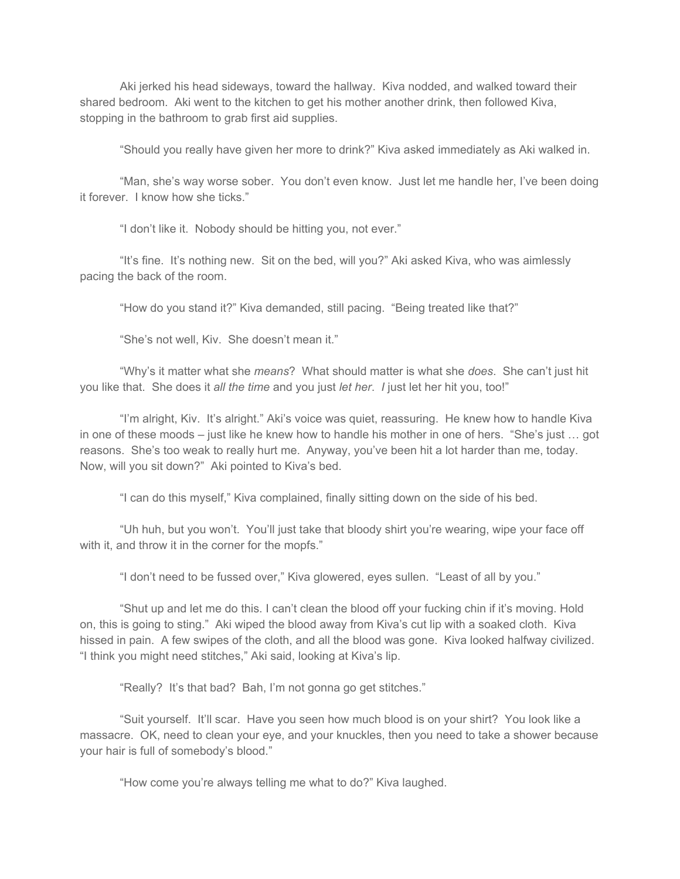Aki jerked his head sideways, toward the hallway. Kiva nodded, and walked toward their shared bedroom. Aki went to the kitchen to get his mother another drink, then followed Kiva, stopping in the bathroom to grab first aid supplies.

"Should you really have given her more to drink?" Kiva asked immediately as Aki walked in.

"Man, she's way worse sober. You don't even know. Just let me handle her, I've been doing it forever. I know how she ticks."

"I don't like it. Nobody should be hitting you, not ever."

"It's fine. It's nothing new. Sit on the bed, will you?" Aki asked Kiva, who was aimlessly pacing the back of the room.

"How do you stand it?" Kiva demanded, still pacing. "Being treated like that?"

"She's not well, Kiv. She doesn't mean it."

"Why's it matter what she *means*? What should matter is what she *does*. She can't just hit you like that. She does it *all the time* and you just *let her*. *I* just let her hit you, too!"

"I'm alright, Kiv. It's alright." Aki's voice was quiet, reassuring. He knew how to handle Kiva in one of these moods – just like he knew how to handle his mother in one of hers. "She's just … got reasons. She's too weak to really hurt me. Anyway, you've been hit a lot harder than me, today. Now, will you sit down?" Aki pointed to Kiva's bed.

"I can do this myself," Kiva complained, finally sitting down on the side of his bed.

"Uh huh, but you won't. You'll just take that bloody shirt you're wearing, wipe your face off with it, and throw it in the corner for the mopfs."

"I don't need to be fussed over," Kiva glowered, eyes sullen. "Least of all by you."

"Shut up and let me do this. I can't clean the blood off your fucking chin if it's moving. Hold on, this is going to sting." Aki wiped the blood away from Kiva's cut lip with a soaked cloth. Kiva hissed in pain. A few swipes of the cloth, and all the blood was gone. Kiva looked halfway civilized. "I think you might need stitches," Aki said, looking at Kiva's lip.

"Really? It's that bad? Bah, I'm not gonna go get stitches."

"Suit yourself. It'll scar. Have you seen how much blood is on your shirt? You look like a massacre. OK, need to clean your eye, and your knuckles, then you need to take a shower because your hair is full of somebody's blood."

"How come you're always telling me what to do?" Kiva laughed.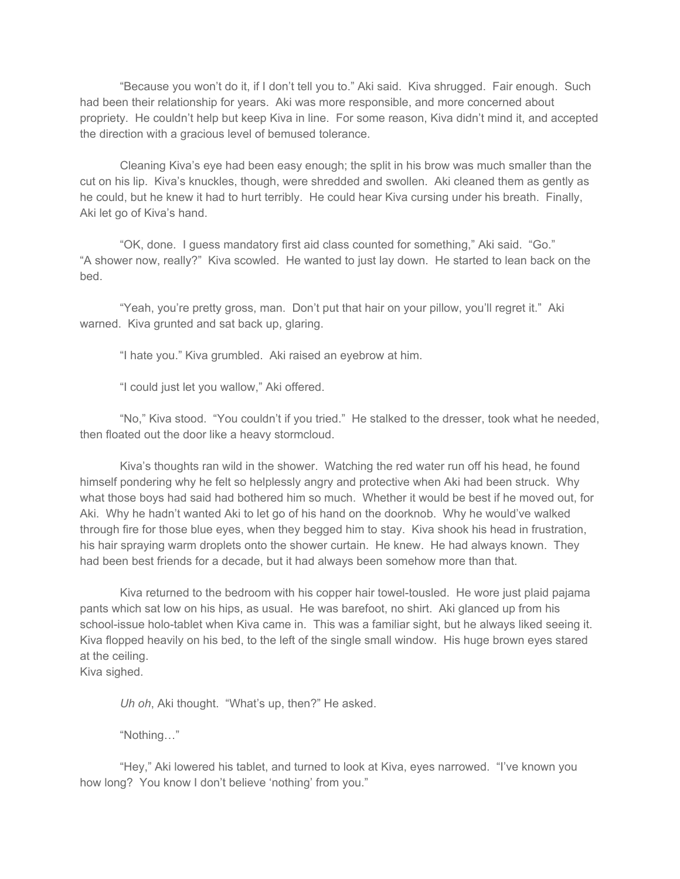"Because you won't do it, if I don't tell you to." Aki said. Kiva shrugged. Fair enough. Such had been their relationship for years. Aki was more responsible, and more concerned about propriety. He couldn't help but keep Kiva in line. For some reason, Kiva didn't mind it, and accepted the direction with a gracious level of bemused tolerance.

Cleaning Kiva's eye had been easy enough; the split in his brow was much smaller than the cut on his lip. Kiva's knuckles, though, were shredded and swollen. Aki cleaned them as gently as he could, but he knew it had to hurt terribly. He could hear Kiva cursing under his breath. Finally, Aki let go of Kiva's hand.

"OK, done. I guess mandatory first aid class counted for something," Aki said. "Go." "A shower now, really?" Kiva scowled. He wanted to just lay down. He started to lean back on the bed.

"Yeah, you're pretty gross, man. Don't put that hair on your pillow, you'll regret it." Aki warned. Kiva grunted and sat back up, glaring.

"I hate you." Kiva grumbled. Aki raised an eyebrow at him.

"I could just let you wallow," Aki offered.

"No," Kiva stood. "You couldn't if you tried." He stalked to the dresser, took what he needed, then floated out the door like a heavy stormcloud.

Kiva's thoughts ran wild in the shower. Watching the red water run off his head, he found himself pondering why he felt so helplessly angry and protective when Aki had been struck. Why what those boys had said had bothered him so much. Whether it would be best if he moved out, for Aki. Why he hadn't wanted Aki to let go of his hand on the doorknob. Why he would've walked through fire for those blue eyes, when they begged him to stay. Kiva shook his head in frustration, his hair spraying warm droplets onto the shower curtain. He knew. He had always known. They had been best friends for a decade, but it had always been somehow more than that.

Kiva returned to the bedroom with his copper hair towel-tousled. He wore just plaid pajama pants which sat low on his hips, as usual. He was barefoot, no shirt. Aki glanced up from his school-issue holo-tablet when Kiva came in. This was a familiar sight, but he always liked seeing it. Kiva flopped heavily on his bed, to the left of the single small window. His huge brown eyes stared at the ceiling.

Kiva sighed.

*Uh oh*, Aki thought. "What's up, then?" He asked.

"Nothing…"

"Hey," Aki lowered his tablet, and turned to look at Kiva, eyes narrowed. "I've known you how long? You know I don't believe 'nothing' from you."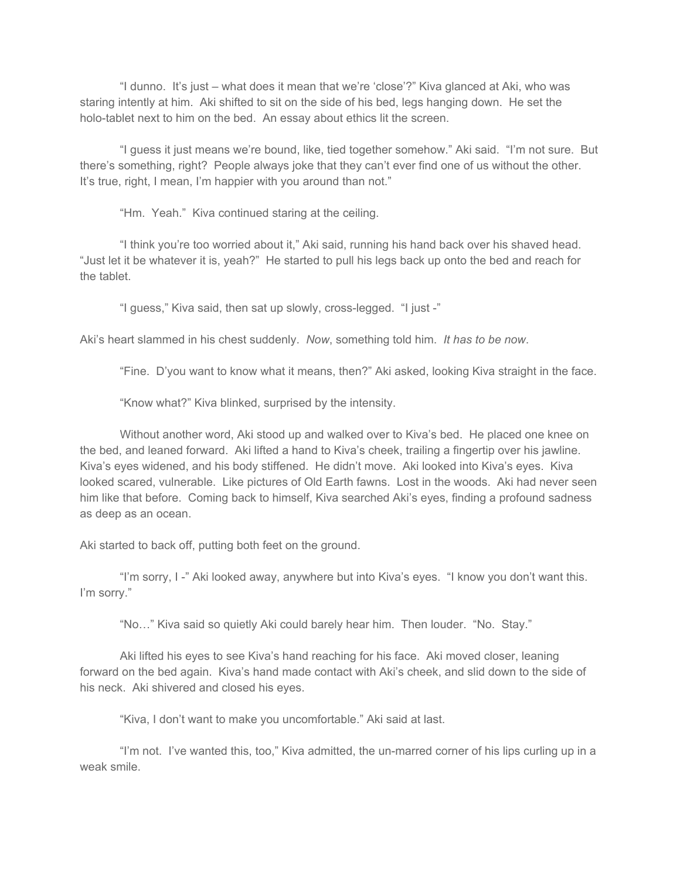"I dunno. It's just – what does it mean that we're 'close'?" Kiva glanced at Aki, who was staring intently at him. Aki shifted to sit on the side of his bed, legs hanging down. He set the holo-tablet next to him on the bed. An essay about ethics lit the screen.

"I guess it just means we're bound, like, tied together somehow." Aki said. "I'm not sure. But there's something, right? People always joke that they can't ever find one of us without the other. It's true, right, I mean, I'm happier with you around than not."

"Hm. Yeah." Kiva continued staring at the ceiling.

"I think you're too worried about it," Aki said, running his hand back over his shaved head. "Just let it be whatever it is, yeah?" He started to pull his legs back up onto the bed and reach for the tablet.

"I guess," Kiva said, then sat up slowly, cross-legged. "I just -"

Aki's heart slammed in his chest suddenly. *Now*, something told him. *It has to be now*.

"Fine. D'you want to know what it means, then?" Aki asked, looking Kiva straight in the face.

"Know what?" Kiva blinked, surprised by the intensity.

Without another word, Aki stood up and walked over to Kiva's bed. He placed one knee on the bed, and leaned forward. Aki lifted a hand to Kiva's cheek, trailing a fingertip over his jawline. Kiva's eyes widened, and his body stiffened. He didn't move. Aki looked into Kiva's eyes. Kiva looked scared, vulnerable. Like pictures of Old Earth fawns. Lost in the woods. Aki had never seen him like that before. Coming back to himself, Kiva searched Aki's eyes, finding a profound sadness as deep as an ocean.

Aki started to back off, putting both feet on the ground.

"I'm sorry, I -" Aki looked away, anywhere but into Kiva's eyes. "I know you don't want this. I'm sorry."

"No…" Kiva said so quietly Aki could barely hear him. Then louder. "No. Stay."

Aki lifted his eyes to see Kiva's hand reaching for his face. Aki moved closer, leaning forward on the bed again. Kiva's hand made contact with Aki's cheek, and slid down to the side of his neck. Aki shivered and closed his eyes.

"Kiva, I don't want to make you uncomfortable." Aki said at last.

"I'm not. I've wanted this, too," Kiva admitted, the un-marred corner of his lips curling up in a weak smile.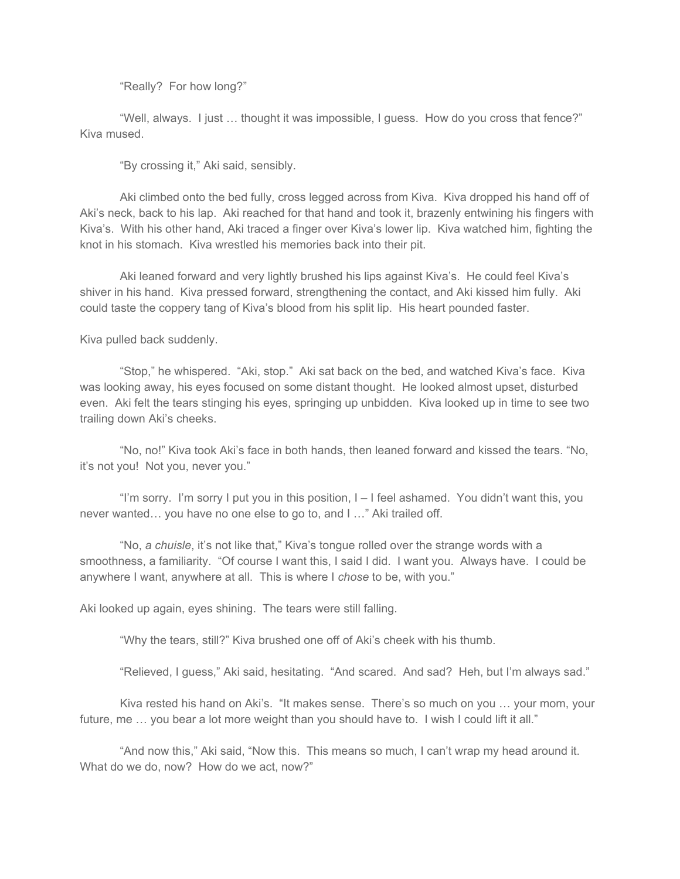"Really? For how long?"

"Well, always. I just … thought it was impossible, I guess. How do you cross that fence?" Kiva mused.

"By crossing it," Aki said, sensibly.

Aki climbed onto the bed fully, cross legged across from Kiva. Kiva dropped his hand off of Aki's neck, back to his lap. Aki reached for that hand and took it, brazenly entwining his fingers with Kiva's. With his other hand, Aki traced a finger over Kiva's lower lip. Kiva watched him, fighting the knot in his stomach. Kiva wrestled his memories back into their pit.

Aki leaned forward and very lightly brushed his lips against Kiva's. He could feel Kiva's shiver in his hand. Kiva pressed forward, strengthening the contact, and Aki kissed him fully. Aki could taste the coppery tang of Kiva's blood from his split lip. His heart pounded faster.

Kiva pulled back suddenly.

"Stop," he whispered. "Aki, stop." Aki sat back on the bed, and watched Kiva's face. Kiva was looking away, his eyes focused on some distant thought. He looked almost upset, disturbed even. Aki felt the tears stinging his eyes, springing up unbidden. Kiva looked up in time to see two trailing down Aki's cheeks.

"No, no!" Kiva took Aki's face in both hands, then leaned forward and kissed the tears. "No, it's not you! Not you, never you."

"I'm sorry. I'm sorry I put you in this position, I – I feel ashamed. You didn't want this, you never wanted… you have no one else to go to, and I …" Aki trailed off.

"No, *a chuisle*, it's not like that," Kiva's tongue rolled over the strange words with a smoothness, a familiarity. "Of course I want this, I said I did. I want you. Always have. I could be anywhere I want, anywhere at all. This is where I *chose* to be, with you."

Aki looked up again, eyes shining. The tears were still falling.

"Why the tears, still?" Kiva brushed one off of Aki's cheek with his thumb.

"Relieved, I guess," Aki said, hesitating. "And scared. And sad? Heh, but I'm always sad."

Kiva rested his hand on Aki's. "It makes sense. There's so much on you … your mom, your future, me ... you bear a lot more weight than you should have to. I wish I could lift it all."

"And now this," Aki said, "Now this. This means so much, I can't wrap my head around it. What do we do, now? How do we act, now?"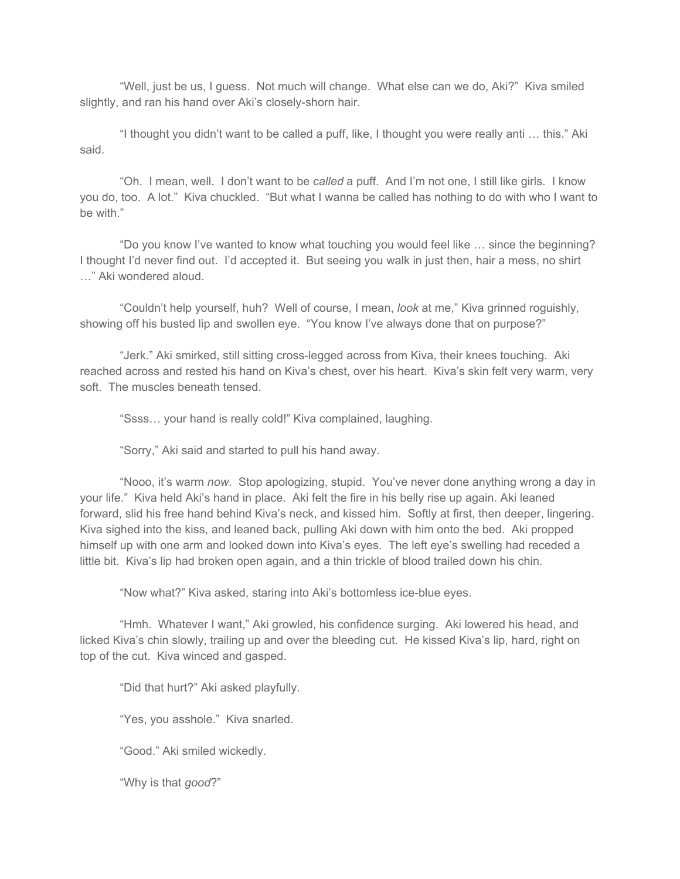"Well, just be us, I guess. Not much will change. What else can we do, Aki?" Kiva smiled slightly, and ran his hand over Aki's closely-shorn hair.

"I thought you didn't want to be called a puff, like, I thought you were really anti … this." Aki said.

"Oh. I mean, well. I don't want to be *called* a puff. And I'm not one, I still like girls. I know you do, too. A lot." Kiva chuckled. "But what I wanna be called has nothing to do with who I want to be with."

"Do you know I've wanted to know what touching you would feel like … since the beginning? I thought I'd never find out. I'd accepted it. But seeing you walk in just then, hair a mess, no shirt …" Aki wondered aloud.

"Couldn't help yourself, huh? Well of course, I mean, *look* at me," Kiva grinned roguishly, showing off his busted lip and swollen eye. "You know I've always done that on purpose?"

"Jerk." Aki smirked, still sitting cross-legged across from Kiva, their knees touching. Aki reached across and rested his hand on Kiva's chest, over his heart. Kiva's skin felt very warm, very soft. The muscles beneath tensed.

"Ssss… your hand is really cold!" Kiva complained, laughing.

"Sorry," Aki said and started to pull his hand away.

"Nooo, it's warm *now*. Stop apologizing, stupid. You've never done anything wrong a day in your life." Kiva held Aki's hand in place. Aki felt the fire in his belly rise up again. Aki leaned forward, slid his free hand behind Kiva's neck, and kissed him. Softly at first, then deeper, lingering. Kiva sighed into the kiss, and leaned back, pulling Aki down with him onto the bed. Aki propped himself up with one arm and looked down into Kiva's eyes. The left eye's swelling had receded a little bit. Kiva's lip had broken open again, and a thin trickle of blood trailed down his chin.

"Now what?" Kiva asked, staring into Aki's bottomless ice-blue eyes.

"Hmh. Whatever I want," Aki growled, his confidence surging. Aki lowered his head, and licked Kiva's chin slowly, trailing up and over the bleeding cut. He kissed Kiva's lip, hard, right on top of the cut. Kiva winced and gasped.

"Did that hurt?" Aki asked playfully.

"Yes, you asshole." Kiva snarled.

"Good." Aki smiled wickedly.

"Why is that *good*?"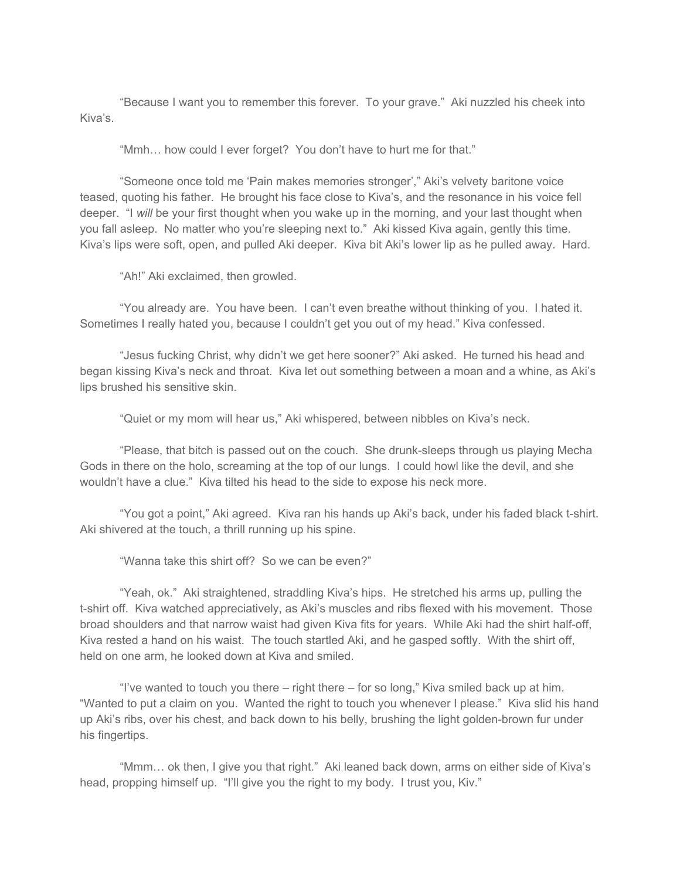"Because I want you to remember this forever. To your grave." Aki nuzzled his cheek into Kiva's.

"Mmh… how could I ever forget? You don't have to hurt me for that."

"Someone once told me 'Pain makes memories stronger'," Aki's velvety baritone voice teased, quoting his father. He brought his face close to Kiva's, and the resonance in his voice fell deeper. "I *will* be your first thought when you wake up in the morning, and your last thought when you fall asleep. No matter who you're sleeping next to." Aki kissed Kiva again, gently this time. Kiva's lips were soft, open, and pulled Aki deeper. Kiva bit Aki's lower lip as he pulled away. Hard.

"Ah!" Aki exclaimed, then growled.

"You already are. You have been. I can't even breathe without thinking of you. I hated it. Sometimes I really hated you, because I couldn't get you out of my head." Kiva confessed.

"Jesus fucking Christ, why didn't we get here sooner?" Aki asked. He turned his head and began kissing Kiva's neck and throat. Kiva let out something between a moan and a whine, as Aki's lips brushed his sensitive skin.

"Quiet or my mom will hear us," Aki whispered, between nibbles on Kiva's neck.

"Please, that bitch is passed out on the couch. She drunk-sleeps through us playing Mecha Gods in there on the holo, screaming at the top of our lungs. I could howl like the devil, and she wouldn't have a clue." Kiva tilted his head to the side to expose his neck more.

"You got a point," Aki agreed. Kiva ran his hands up Aki's back, under his faded black t-shirt. Aki shivered at the touch, a thrill running up his spine.

"Wanna take this shirt off? So we can be even?"

"Yeah, ok." Aki straightened, straddling Kiva's hips. He stretched his arms up, pulling the t-shirt off. Kiva watched appreciatively, as Aki's muscles and ribs flexed with his movement. Those broad shoulders and that narrow waist had given Kiva fits for years. While Aki had the shirt half-off, Kiva rested a hand on his waist. The touch startled Aki, and he gasped softly. With the shirt off, held on one arm, he looked down at Kiva and smiled.

"I've wanted to touch you there  $-$  right there  $-$  for so long," Kiva smiled back up at him. "Wanted to put a claim on you. Wanted the right to touch you whenever I please." Kiva slid his hand up Aki's ribs, over his chest, and back down to his belly, brushing the light golden-brown fur under his fingertips.

"Mmm… ok then, I give you that right." Aki leaned back down, arms on either side of Kiva's head, propping himself up. "I'll give you the right to my body. I trust you, Kiv."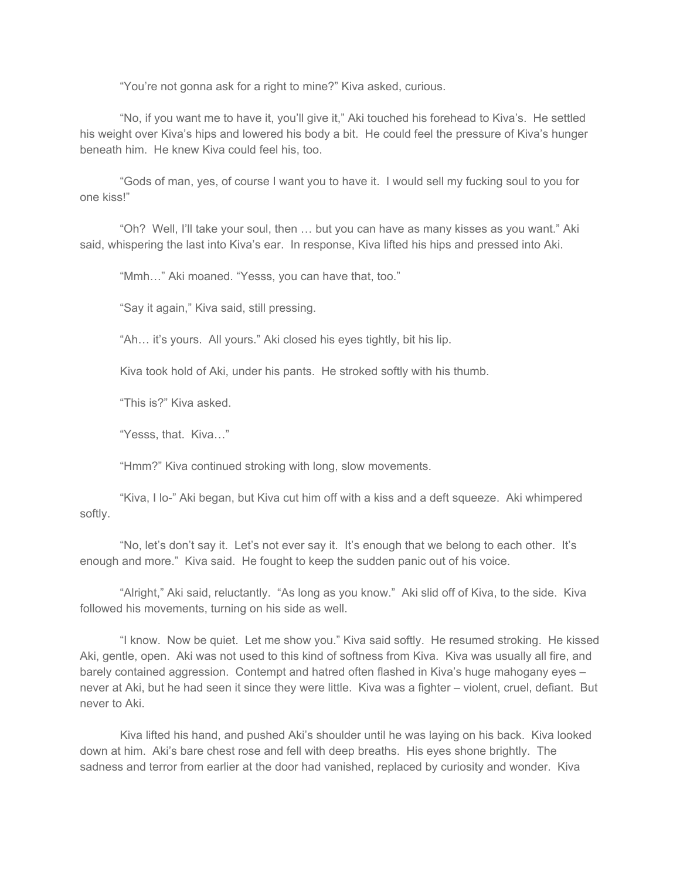"You're not gonna ask for a right to mine?" Kiva asked, curious.

"No, if you want me to have it, you'll give it," Aki touched his forehead to Kiva's. He settled his weight over Kiva's hips and lowered his body a bit. He could feel the pressure of Kiva's hunger beneath him. He knew Kiva could feel his, too.

"Gods of man, yes, of course I want you to have it. I would sell my fucking soul to you for one kiss!"

"Oh? Well, I'll take your soul, then … but you can have as many kisses as you want." Aki said, whispering the last into Kiva's ear. In response, Kiva lifted his hips and pressed into Aki.

"Mmh…" Aki moaned. "Yesss, you can have that, too."

"Say it again," Kiva said, still pressing.

"Ah… it's yours. All yours." Aki closed his eyes tightly, bit his lip.

Kiva took hold of Aki, under his pants. He stroked softly with his thumb.

"This is?" Kiva asked.

"Yesss, that. Kiva…"

"Hmm?" Kiva continued stroking with long, slow movements.

"Kiva, I lo-" Aki began, but Kiva cut him off with a kiss and a deft squeeze. Aki whimpered softly.

"No, let's don't say it. Let's not ever say it. It's enough that we belong to each other. It's enough and more." Kiva said. He fought to keep the sudden panic out of his voice.

"Alright," Aki said, reluctantly. "As long as you know." Aki slid off of Kiva, to the side. Kiva followed his movements, turning on his side as well.

"I know. Now be quiet. Let me show you." Kiva said softly. He resumed stroking. He kissed Aki, gentle, open. Aki was not used to this kind of softness from Kiva. Kiva was usually all fire, and barely contained aggression. Contempt and hatred often flashed in Kiva's huge mahogany eyes – never at Aki, but he had seen it since they were little. Kiva was a fighter – violent, cruel, defiant. But never to Aki.

Kiva lifted his hand, and pushed Aki's shoulder until he was laying on his back. Kiva looked down at him. Aki's bare chest rose and fell with deep breaths. His eyes shone brightly. The sadness and terror from earlier at the door had vanished, replaced by curiosity and wonder. Kiva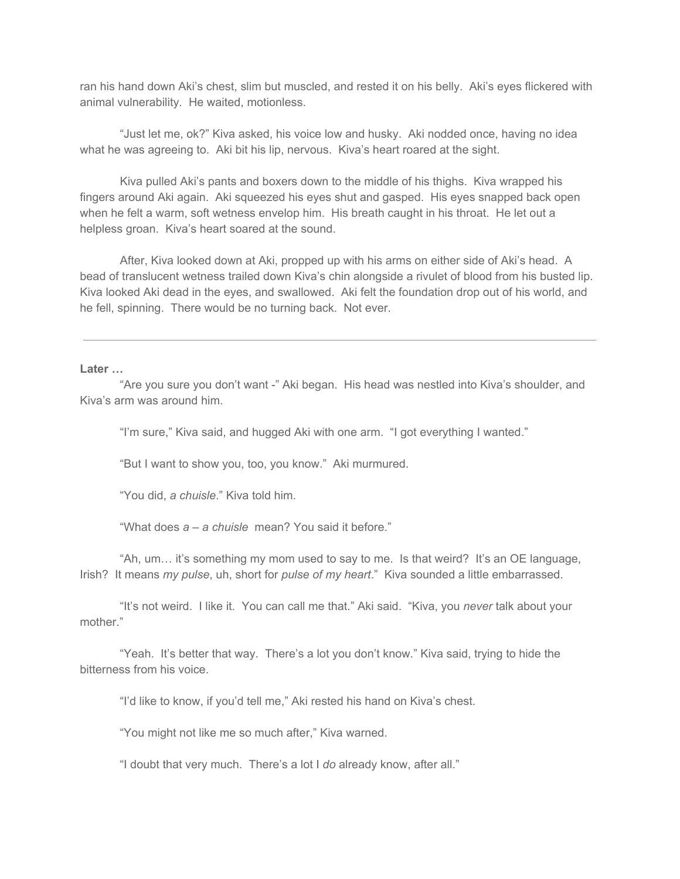ran his hand down Aki's chest, slim but muscled, and rested it on his belly. Aki's eyes flickered with animal vulnerability. He waited, motionless.

"Just let me, ok?" Kiva asked, his voice low and husky. Aki nodded once, having no idea what he was agreeing to. Aki bit his lip, nervous. Kiva's heart roared at the sight.

Kiva pulled Aki's pants and boxers down to the middle of his thighs. Kiva wrapped his fingers around Aki again. Aki squeezed his eyes shut and gasped. His eyes snapped back open when he felt a warm, soft wetness envelop him. His breath caught in his throat. He let out a helpless groan. Kiva's heart soared at the sound.

After, Kiva looked down at Aki, propped up with his arms on either side of Aki's head. A bead of translucent wetness trailed down Kiva's chin alongside a rivulet of blood from his busted lip. Kiva looked Aki dead in the eyes, and swallowed. Aki felt the foundation drop out of his world, and he fell, spinning. There would be no turning back. Not ever.

#### **Later …**

"Are you sure you don't want -" Aki began. His head was nestled into Kiva's shoulder, and Kiva's arm was around him.

"I'm sure," Kiva said, and hugged Aki with one arm. "I got everything I wanted."

"But I want to show you, too, you know." Aki murmured.

"You did, *a chuisle*." Kiva told him.

"What does *a – a chuisle* mean? You said it before."

"Ah, um… it's something my mom used to say to me. Is that weird? It's an OE language, Irish? It means *my pulse*, uh, short for *pulse of my heart*." Kiva sounded a little embarrassed.

"It's not weird. I like it. You can call me that." Aki said. "Kiva, you *never* talk about your mother."

"Yeah. It's better that way. There's a lot you don't know." Kiva said, trying to hide the bitterness from his voice.

"I'd like to know, if you'd tell me," Aki rested his hand on Kiva's chest.

"You might not like me so much after," Kiva warned.

"I doubt that very much. There's a lot I *do* already know, after all."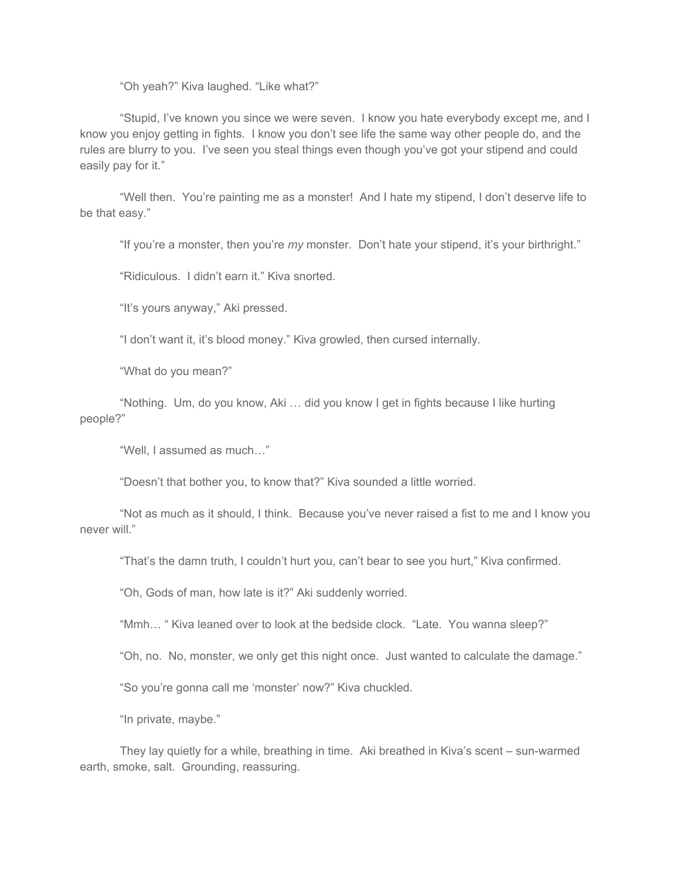"Oh yeah?" Kiva laughed. "Like what?"

"Stupid, I've known you since we were seven. I know you hate everybody except me, and I know you enjoy getting in fights. I know you don't see life the same way other people do, and the rules are blurry to you. I've seen you steal things even though you've got your stipend and could easily pay for it."

"Well then. You're painting me as a monster! And I hate my stipend, I don't deserve life to be that easy."

"If you're a monster, then you're *my* monster. Don't hate your stipend, it's your birthright."

"Ridiculous. I didn't earn it." Kiva snorted.

"It's yours anyway," Aki pressed.

"I don't want it, it's blood money." Kiva growled, then cursed internally.

"What do you mean?"

"Nothing. Um, do you know, Aki … did you know I get in fights because I like hurting people?"

"Well, I assumed as much…"

"Doesn't that bother you, to know that?" Kiva sounded a little worried.

"Not as much as it should, I think. Because you've never raised a fist to me and I know you never will."

"That's the damn truth, I couldn't hurt you, can't bear to see you hurt," Kiva confirmed.

"Oh, Gods of man, how late is it?" Aki suddenly worried.

"Mmh… " Kiva leaned over to look at the bedside clock. "Late. You wanna sleep?"

"Oh, no. No, monster, we only get this night once. Just wanted to calculate the damage."

"So you're gonna call me 'monster' now?" Kiva chuckled.

"In private, maybe."

They lay quietly for a while, breathing in time. Aki breathed in Kiva's scent – sun-warmed earth, smoke, salt. Grounding, reassuring.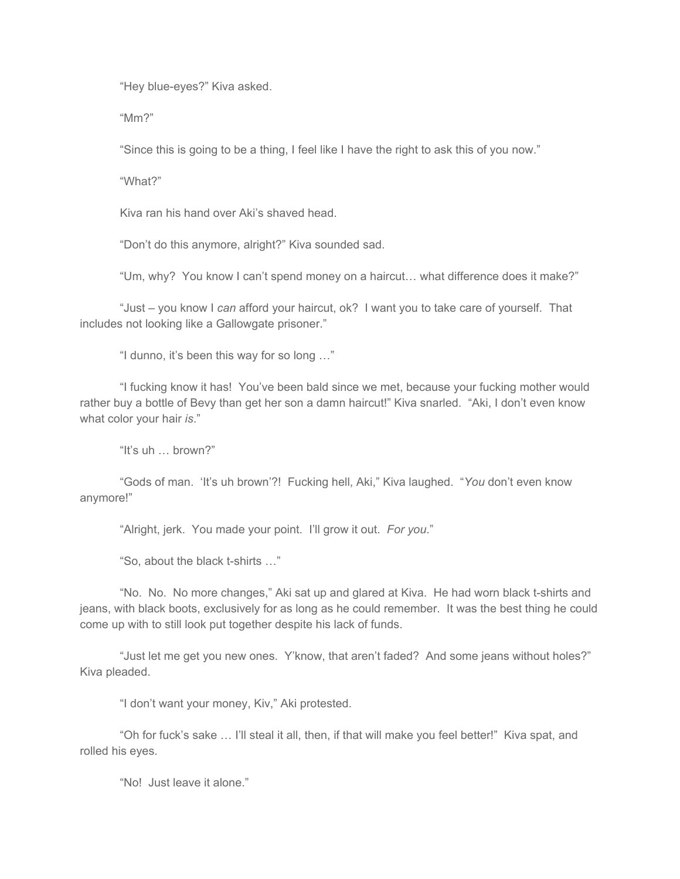"Hey blue-eyes?" Kiva asked.

"Mm?"

"Since this is going to be a thing, I feel like I have the right to ask this of you now."

"What?"

Kiva ran his hand over Aki's shaved head.

"Don't do this anymore, alright?" Kiva sounded sad.

"Um, why? You know I can't spend money on a haircut… what difference does it make?"

"Just – you know I *can* afford your haircut, ok? I want you to take care of yourself. That includes not looking like a Gallowgate prisoner."

"I dunno, it's been this way for so long …"

"I fucking know it has! You've been bald since we met, because your fucking mother would rather buy a bottle of Bevy than get her son a damn haircut!" Kiva snarled. "Aki, I don't even know what color your hair *is*."

"It's uh … brown?"

"Gods of man. 'It's uh brown'?! Fucking hell, Aki," Kiva laughed. "*You* don't even know anymore!"

"Alright, jerk. You made your point. I'll grow it out. *For you*."

"So, about the black t-shirts …"

"No. No. No more changes," Aki sat up and glared at Kiva. He had worn black t-shirts and jeans, with black boots, exclusively for as long as he could remember. It was the best thing he could come up with to still look put together despite his lack of funds.

"Just let me get you new ones. Y'know, that aren't faded? And some jeans without holes?" Kiva pleaded.

"I don't want your money, Kiv," Aki protested.

"Oh for fuck's sake … I'll steal it all, then, if that will make you feel better!" Kiva spat, and rolled his eyes.

"No! Just leave it alone."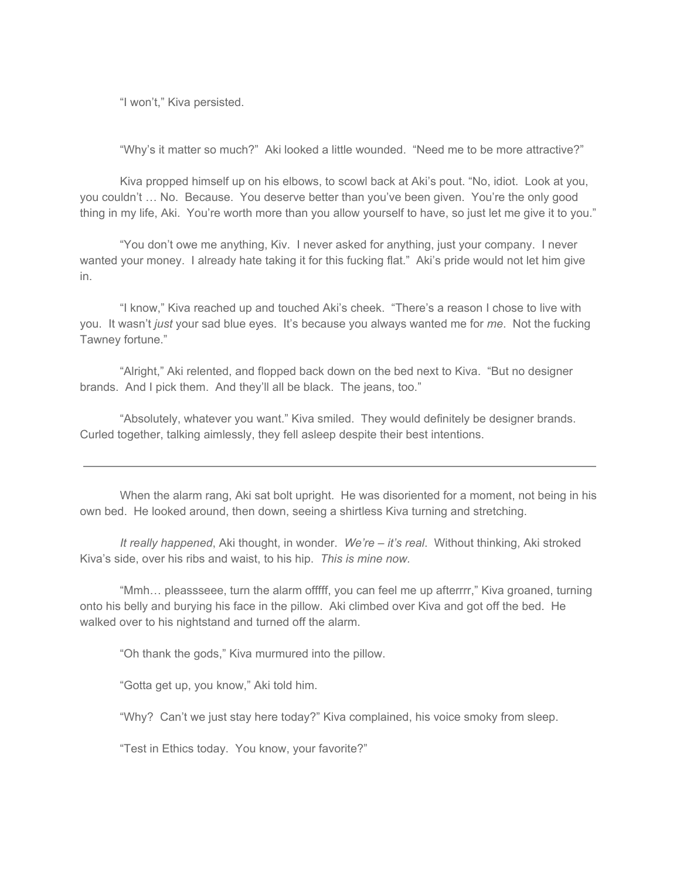"I won't," Kiva persisted.

"Why's it matter so much?" Aki looked a little wounded. "Need me to be more attractive?"

Kiva propped himself up on his elbows, to scowl back at Aki's pout. "No, idiot. Look at you, you couldn't … No. Because. You deserve better than you've been given. You're the only good thing in my life, Aki. You're worth more than you allow yourself to have, so just let me give it to you."

"You don't owe me anything, Kiv. I never asked for anything, just your company. I never wanted your money. I already hate taking it for this fucking flat." Aki's pride would not let him give in.

"I know," Kiva reached up and touched Aki's cheek. "There's a reason I chose to live with you. It wasn't *just* your sad blue eyes. It's because you always wanted me for *me*. Not the fucking Tawney fortune."

"Alright," Aki relented, and flopped back down on the bed next to Kiva. "But no designer brands. And I pick them. And they'll all be black. The jeans, too."

"Absolutely, whatever you want." Kiva smiled. They would definitely be designer brands. Curled together, talking aimlessly, they fell asleep despite their best intentions.

When the alarm rang, Aki sat bolt upright. He was disoriented for a moment, not being in his own bed. He looked around, then down, seeing a shirtless Kiva turning and stretching.

*It really happened*, Aki thought, in wonder. *We're – it's real*. Without thinking, Aki stroked Kiva's side, over his ribs and waist, to his hip. *This is mine now.*

"Mmh… pleassseee, turn the alarm offfff, you can feel me up afterrrr," Kiva groaned, turning onto his belly and burying his face in the pillow. Aki climbed over Kiva and got off the bed. He walked over to his nightstand and turned off the alarm.

"Oh thank the gods," Kiva murmured into the pillow.

"Gotta get up, you know," Aki told him.

"Why? Can't we just stay here today?" Kiva complained, his voice smoky from sleep.

"Test in Ethics today. You know, your favorite?"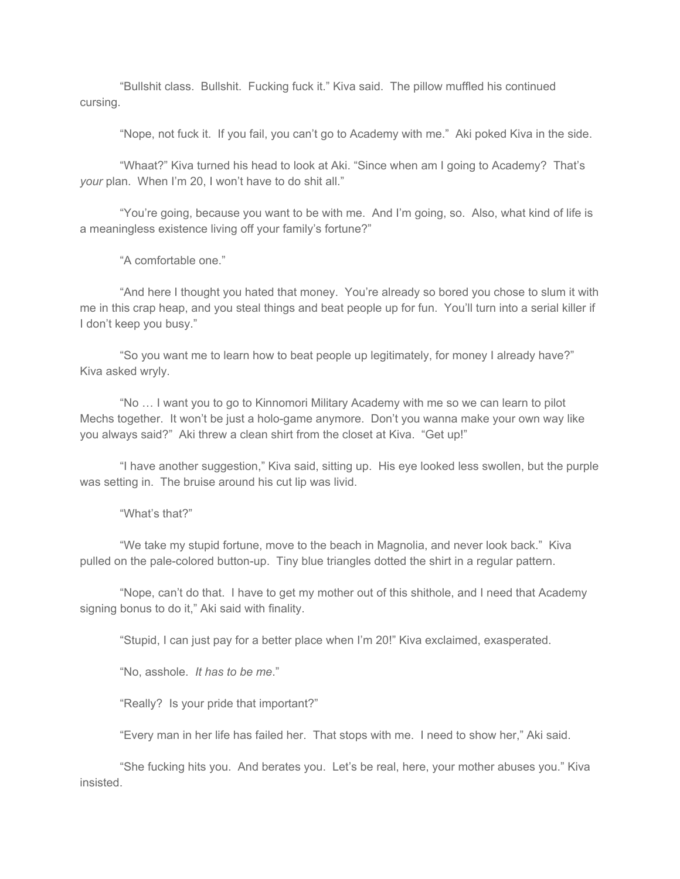"Bullshit class. Bullshit. Fucking fuck it." Kiva said. The pillow muffled his continued cursing.

"Nope, not fuck it. If you fail, you can't go to Academy with me." Aki poked Kiva in the side.

"Whaat?" Kiva turned his head to look at Aki. "Since when am I going to Academy? That's *your* plan. When I'm 20, I won't have to do shit all."

"You're going, because you want to be with me. And I'm going, so. Also, what kind of life is a meaningless existence living off your family's fortune?"

"A comfortable one."

"And here I thought you hated that money. You're already so bored you chose to slum it with me in this crap heap, and you steal things and beat people up for fun. You'll turn into a serial killer if I don't keep you busy."

"So you want me to learn how to beat people up legitimately, for money I already have?" Kiva asked wryly.

"No … I want you to go to Kinnomori Military Academy with me so we can learn to pilot Mechs together. It won't be just a holo-game anymore. Don't you wanna make your own way like you always said?" Aki threw a clean shirt from the closet at Kiva. "Get up!"

"I have another suggestion," Kiva said, sitting up. His eye looked less swollen, but the purple was setting in. The bruise around his cut lip was livid.

"What's that?"

"We take my stupid fortune, move to the beach in Magnolia, and never look back." Kiva pulled on the pale-colored button-up. Tiny blue triangles dotted the shirt in a regular pattern.

"Nope, can't do that. I have to get my mother out of this shithole, and I need that Academy signing bonus to do it," Aki said with finality.

"Stupid, I can just pay for a better place when I'm 20!" Kiva exclaimed, exasperated.

"No, asshole. *It has to be me*."

"Really? Is your pride that important?"

"Every man in her life has failed her. That stops with me. I need to show her," Aki said.

"She fucking hits you. And berates you. Let's be real, here, your mother abuses you." Kiva insisted.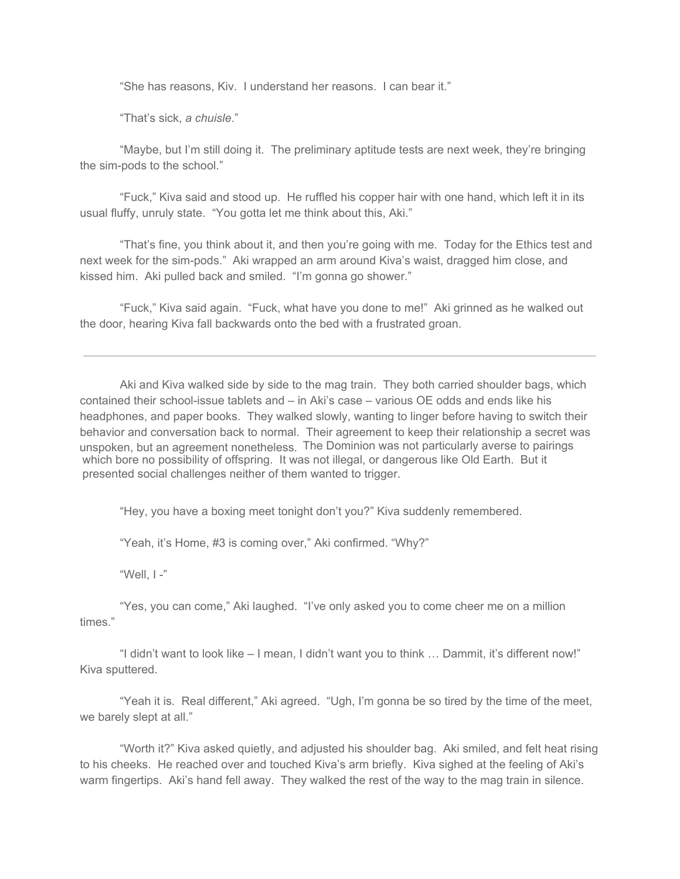"She has reasons, Kiv. I understand her reasons. I can bear it."

"That's sick, *a chuisle*."

"Maybe, but I'm still doing it. The preliminary aptitude tests are next week, they're bringing the sim-pods to the school."

"Fuck," Kiva said and stood up. He ruffled his copper hair with one hand, which left it in its usual fluffy, unruly state. "You gotta let me think about this, Aki."

"That's fine, you think about it, and then you're going with me. Today for the Ethics test and next week for the sim-pods." Aki wrapped an arm around Kiva's waist, dragged him close, and kissed him. Aki pulled back and smiled. "I'm gonna go shower."

"Fuck," Kiva said again. "Fuck, what have you done to me!" Aki grinned as he walked out the door, hearing Kiva fall backwards onto the bed with a frustrated groan.

Aki and Kiva walked side by side to the mag train. They both carried shoulder bags, which contained their school-issue tablets and – in Aki's case – various OE odds and ends like his headphones, and paper books. They walked slowly, wanting to linger before having to switch their behavior and conversation back to normal. Their agreement to keep their relationship a secret was unspoken, but an agreement nonetheless. The Dominion was not particularly averse to pairings which bore no possibility of offspring. It was not illegal, or dangerous like Old Earth. But it presented social challenges neither of them wanted to trigger.

"Hey, you have a boxing meet tonight don't you?" Kiva suddenly remembered.

"Yeah, it's Home, #3 is coming over," Aki confirmed. "Why?"

"Well, I -"

"Yes, you can come," Aki laughed. "I've only asked you to come cheer me on a million times."

"I didn't want to look like – I mean, I didn't want you to think … Dammit, it's different now!" Kiva sputtered.

"Yeah it is. Real different," Aki agreed. "Ugh, I'm gonna be so tired by the time of the meet, we barely slept at all."

"Worth it?" Kiva asked quietly, and adjusted his shoulder bag. Aki smiled, and felt heat rising to his cheeks. He reached over and touched Kiva's arm briefly. Kiva sighed at the feeling of Aki's warm fingertips. Aki's hand fell away. They walked the rest of the way to the mag train in silence.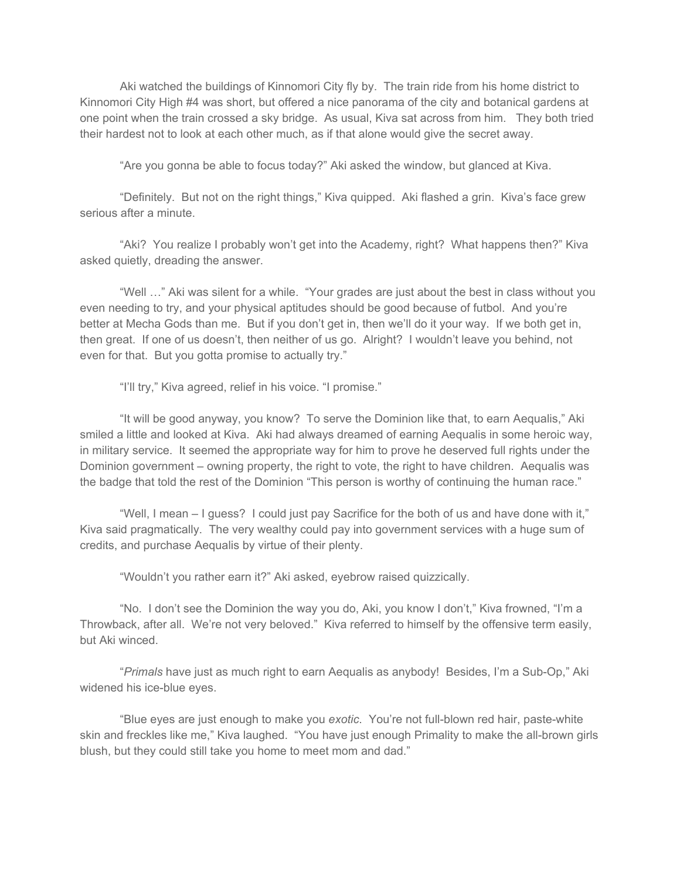Aki watched the buildings of Kinnomori City fly by. The train ride from his home district to Kinnomori City High #4 was short, but offered a nice panorama of the city and botanical gardens at one point when the train crossed a sky bridge. As usual, Kiva sat across from him. They both tried their hardest not to look at each other much, as if that alone would give the secret away.

"Are you gonna be able to focus today?" Aki asked the window, but glanced at Kiva.

"Definitely. But not on the right things," Kiva quipped. Aki flashed a grin. Kiva's face grew serious after a minute.

"Aki? You realize I probably won't get into the Academy, right? What happens then?" Kiva asked quietly, dreading the answer.

"Well …" Aki was silent for a while. "Your grades are just about the best in class without you even needing to try, and your physical aptitudes should be good because of futbol. And you're better at Mecha Gods than me. But if you don't get in, then we'll do it your way. If we both get in, then great. If one of us doesn't, then neither of us go. Alright? I wouldn't leave you behind, not even for that. But you gotta promise to actually try."

"I'll try," Kiva agreed, relief in his voice. "I promise."

"It will be good anyway, you know? To serve the Dominion like that, to earn Aequalis," Aki smiled a little and looked at Kiva. Aki had always dreamed of earning Aequalis in some heroic way, in military service. It seemed the appropriate way for him to prove he deserved full rights under the Dominion government – owning property, the right to vote, the right to have children. Aequalis was the badge that told the rest of the Dominion "This person is worthy of continuing the human race."

"Well, I mean – I guess? I could just pay Sacrifice for the both of us and have done with it," Kiva said pragmatically. The very wealthy could pay into government services with a huge sum of credits, and purchase Aequalis by virtue of their plenty.

"Wouldn't you rather earn it?" Aki asked, eyebrow raised quizzically.

"No. I don't see the Dominion the way you do, Aki, you know I don't," Kiva frowned, "I'm a Throwback, after all. We're not very beloved." Kiva referred to himself by the offensive term easily, but Aki winced.

"*Primals* have just as much right to earn Aequalis as anybody! Besides, I'm a Sub-Op," Aki widened his ice-blue eyes.

"Blue eyes are just enough to make you *exotic*. You're not full-blown red hair, paste-white skin and freckles like me," Kiva laughed. "You have just enough Primality to make the all-brown girls blush, but they could still take you home to meet mom and dad."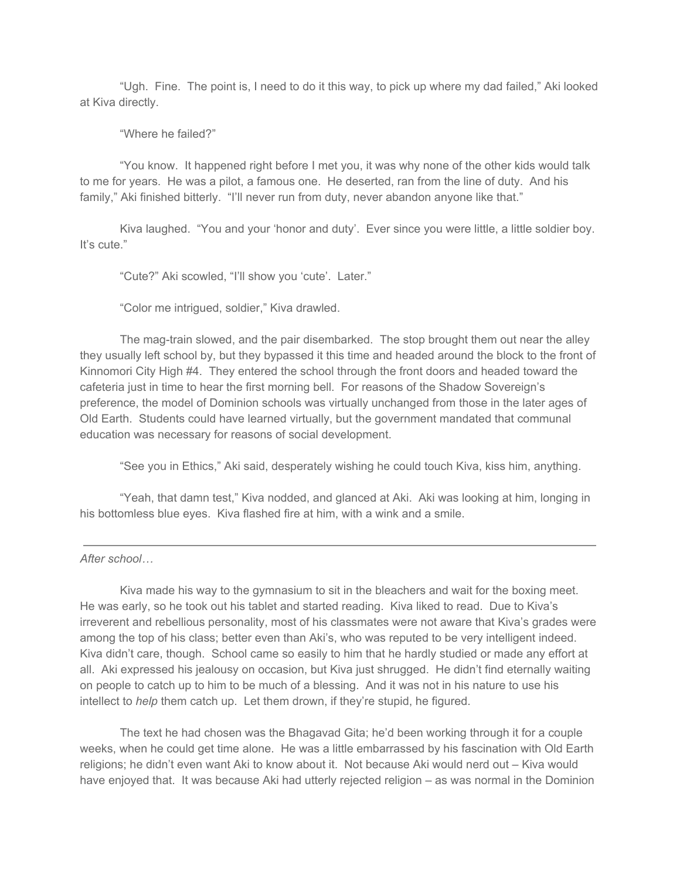"Ugh. Fine. The point is, I need to do it this way, to pick up where my dad failed," Aki looked at Kiva directly.

"Where he failed?"

"You know. It happened right before I met you, it was why none of the other kids would talk to me for years. He was a pilot, a famous one. He deserted, ran from the line of duty. And his family," Aki finished bitterly. "I'll never run from duty, never abandon anyone like that."

Kiva laughed. "You and your 'honor and duty'. Ever since you were little, a little soldier boy. It's cute."

"Cute?" Aki scowled, "I'll show you 'cute'. Later."

"Color me intrigued, soldier," Kiva drawled.

The mag-train slowed, and the pair disembarked. The stop brought them out near the alley they usually left school by, but they bypassed it this time and headed around the block to the front of Kinnomori City High #4. They entered the school through the front doors and headed toward the cafeteria just in time to hear the first morning bell. For reasons of the Shadow Sovereign's preference, the model of Dominion schools was virtually unchanged from those in the later ages of Old Earth. Students could have learned virtually, but the government mandated that communal education was necessary for reasons of social development.

"See you in Ethics," Aki said, desperately wishing he could touch Kiva, kiss him, anything.

"Yeah, that damn test," Kiva nodded, and glanced at Aki. Aki was looking at him, longing in his bottomless blue eyes. Kiva flashed fire at him, with a wink and a smile.

*After school…*

Kiva made his way to the gymnasium to sit in the bleachers and wait for the boxing meet. He was early, so he took out his tablet and started reading. Kiva liked to read. Due to Kiva's irreverent and rebellious personality, most of his classmates were not aware that Kiva's grades were among the top of his class; better even than Aki's, who was reputed to be very intelligent indeed. Kiva didn't care, though. School came so easily to him that he hardly studied or made any effort at all. Aki expressed his jealousy on occasion, but Kiva just shrugged. He didn't find eternally waiting on people to catch up to him to be much of a blessing. And it was not in his nature to use his intellect to *help* them catch up. Let them drown, if they're stupid, he figured.

The text he had chosen was the Bhagavad Gita; he'd been working through it for a couple weeks, when he could get time alone. He was a little embarrassed by his fascination with Old Earth religions; he didn't even want Aki to know about it. Not because Aki would nerd out – Kiva would have enjoyed that. It was because Aki had utterly rejected religion – as was normal in the Dominion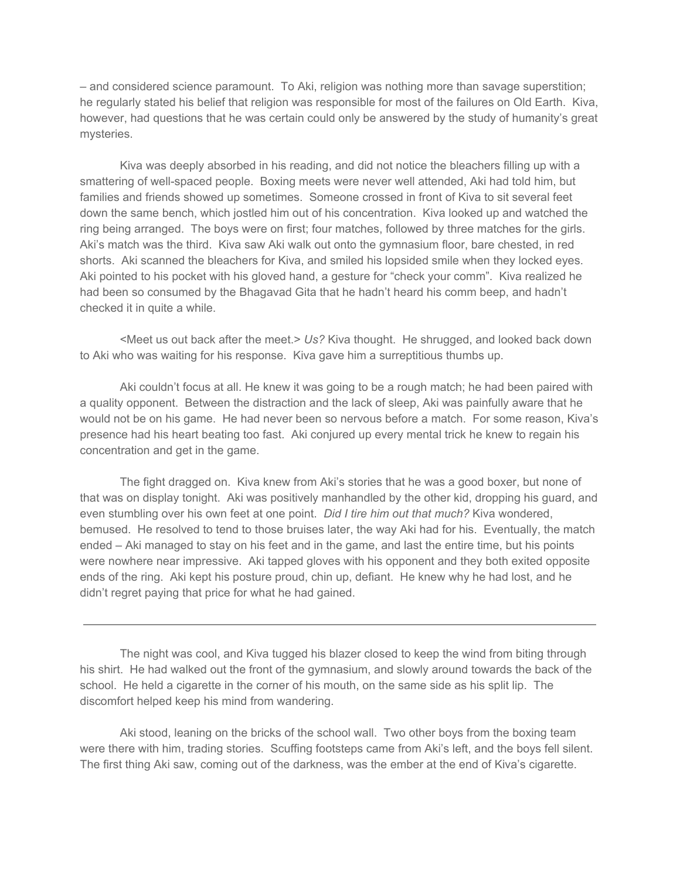– and considered science paramount. To Aki, religion was nothing more than savage superstition; he regularly stated his belief that religion was responsible for most of the failures on Old Earth. Kiva, however, had questions that he was certain could only be answered by the study of humanity's great mysteries.

Kiva was deeply absorbed in his reading, and did not notice the bleachers filling up with a smattering of well-spaced people. Boxing meets were never well attended, Aki had told him, but families and friends showed up sometimes. Someone crossed in front of Kiva to sit several feet down the same bench, which jostled him out of his concentration. Kiva looked up and watched the ring being arranged. The boys were on first; four matches, followed by three matches for the girls. Aki's match was the third. Kiva saw Aki walk out onto the gymnasium floor, bare chested, in red shorts. Aki scanned the bleachers for Kiva, and smiled his lopsided smile when they locked eyes. Aki pointed to his pocket with his gloved hand, a gesture for "check your comm". Kiva realized he had been so consumed by the Bhagavad Gita that he hadn't heard his comm beep, and hadn't checked it in quite a while.

<Meet us out back after the meet.> *Us?* Kiva thought. He shrugged, and looked back down to Aki who was waiting for his response. Kiva gave him a surreptitious thumbs up.

Aki couldn't focus at all. He knew it was going to be a rough match; he had been paired with a quality opponent. Between the distraction and the lack of sleep, Aki was painfully aware that he would not be on his game. He had never been so nervous before a match. For some reason, Kiva's presence had his heart beating too fast. Aki conjured up every mental trick he knew to regain his concentration and get in the game.

The fight dragged on. Kiva knew from Aki's stories that he was a good boxer, but none of that was on display tonight. Aki was positively manhandled by the other kid, dropping his guard, and even stumbling over his own feet at one point. *Did I tire him out that much?* Kiva wondered, bemused. He resolved to tend to those bruises later, the way Aki had for his. Eventually, the match ended – Aki managed to stay on his feet and in the game, and last the entire time, but his points were nowhere near impressive. Aki tapped gloves with his opponent and they both exited opposite ends of the ring. Aki kept his posture proud, chin up, defiant. He knew why he had lost, and he didn't regret paying that price for what he had gained.

The night was cool, and Kiva tugged his blazer closed to keep the wind from biting through his shirt. He had walked out the front of the gymnasium, and slowly around towards the back of the school. He held a cigarette in the corner of his mouth, on the same side as his split lip. The discomfort helped keep his mind from wandering.

Aki stood, leaning on the bricks of the school wall. Two other boys from the boxing team were there with him, trading stories. Scuffing footsteps came from Aki's left, and the boys fell silent. The first thing Aki saw, coming out of the darkness, was the ember at the end of Kiva's cigarette.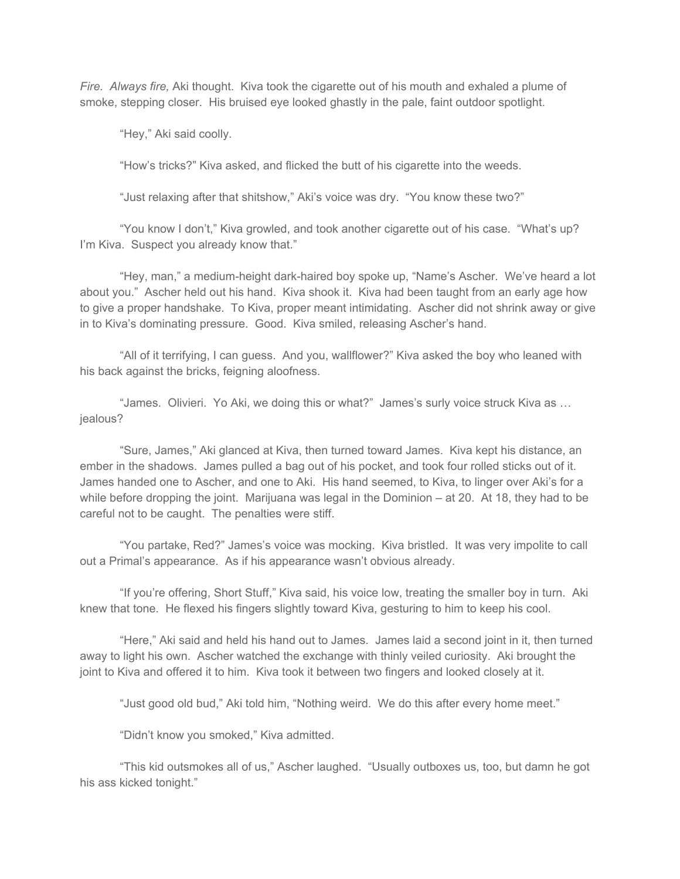*Fire. Always fire,* Aki thought. Kiva took the cigarette out of his mouth and exhaled a plume of smoke, stepping closer. His bruised eye looked ghastly in the pale, faint outdoor spotlight.

"Hey," Aki said coolly.

"How's tricks?" Kiva asked, and flicked the butt of his cigarette into the weeds.

"Just relaxing after that shitshow," Aki's voice was dry. "You know these two?"

"You know I don't," Kiva growled, and took another cigarette out of his case. "What's up? I'm Kiva. Suspect you already know that."

"Hey, man," a medium-height dark-haired boy spoke up, "Name's Ascher. We've heard a lot about you." Ascher held out his hand. Kiva shook it. Kiva had been taught from an early age how to give a proper handshake. To Kiva, proper meant intimidating. Ascher did not shrink away or give in to Kiva's dominating pressure. Good. Kiva smiled, releasing Ascher's hand.

"All of it terrifying, I can guess. And you, wallflower?" Kiva asked the boy who leaned with his back against the bricks, feigning aloofness.

"James. Olivieri. Yo Aki, we doing this or what?" James's surly voice struck Kiva as … jealous?

"Sure, James," Aki glanced at Kiva, then turned toward James. Kiva kept his distance, an ember in the shadows. James pulled a bag out of his pocket, and took four rolled sticks out of it. James handed one to Ascher, and one to Aki. His hand seemed, to Kiva, to linger over Aki's for a while before dropping the joint. Marijuana was legal in the Dominion – at 20. At 18, they had to be careful not to be caught. The penalties were stiff.

"You partake, Red?" James's voice was mocking. Kiva bristled. It was very impolite to call out a Primal's appearance. As if his appearance wasn't obvious already.

"If you're offering, Short Stuff," Kiva said, his voice low, treating the smaller boy in turn. Aki knew that tone. He flexed his fingers slightly toward Kiva, gesturing to him to keep his cool.

"Here," Aki said and held his hand out to James. James laid a second joint in it, then turned away to light his own. Ascher watched the exchange with thinly veiled curiosity. Aki brought the joint to Kiva and offered it to him. Kiva took it between two fingers and looked closely at it.

"Just good old bud," Aki told him, "Nothing weird. We do this after every home meet."

"Didn't know you smoked," Kiva admitted.

"This kid outsmokes all of us," Ascher laughed. "Usually outboxes us, too, but damn he got his ass kicked tonight."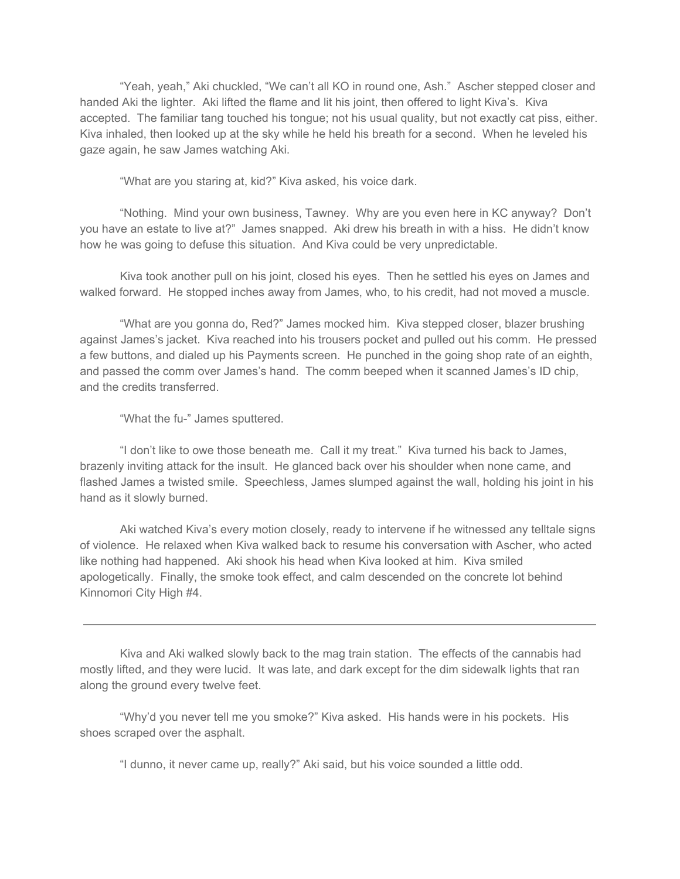"Yeah, yeah," Aki chuckled, "We can't all KO in round one, Ash." Ascher stepped closer and handed Aki the lighter. Aki lifted the flame and lit his joint, then offered to light Kiva's. Kiva accepted. The familiar tang touched his tongue; not his usual quality, but not exactly cat piss, either. Kiva inhaled, then looked up at the sky while he held his breath for a second. When he leveled his gaze again, he saw James watching Aki.

"What are you staring at, kid?" Kiva asked, his voice dark.

"Nothing. Mind your own business, Tawney. Why are you even here in KC anyway? Don't you have an estate to live at?" James snapped. Aki drew his breath in with a hiss. He didn't know how he was going to defuse this situation. And Kiva could be very unpredictable.

Kiva took another pull on his joint, closed his eyes. Then he settled his eyes on James and walked forward. He stopped inches away from James, who, to his credit, had not moved a muscle.

"What are you gonna do, Red?" James mocked him. Kiva stepped closer, blazer brushing against James's jacket. Kiva reached into his trousers pocket and pulled out his comm. He pressed a few buttons, and dialed up his Payments screen. He punched in the going shop rate of an eighth, and passed the comm over James's hand. The comm beeped when it scanned James's ID chip, and the credits transferred.

"What the fu-" James sputtered.

"I don't like to owe those beneath me. Call it my treat." Kiva turned his back to James, brazenly inviting attack for the insult. He glanced back over his shoulder when none came, and flashed James a twisted smile. Speechless, James slumped against the wall, holding his joint in his hand as it slowly burned.

Aki watched Kiva's every motion closely, ready to intervene if he witnessed any telltale signs of violence. He relaxed when Kiva walked back to resume his conversation with Ascher, who acted like nothing had happened. Aki shook his head when Kiva looked at him. Kiva smiled apologetically. Finally, the smoke took effect, and calm descended on the concrete lot behind Kinnomori City High #4.

Kiva and Aki walked slowly back to the mag train station. The effects of the cannabis had mostly lifted, and they were lucid. It was late, and dark except for the dim sidewalk lights that ran along the ground every twelve feet.

"Why'd you never tell me you smoke?" Kiva asked. His hands were in his pockets. His shoes scraped over the asphalt.

"I dunno, it never came up, really?" Aki said, but his voice sounded a little odd.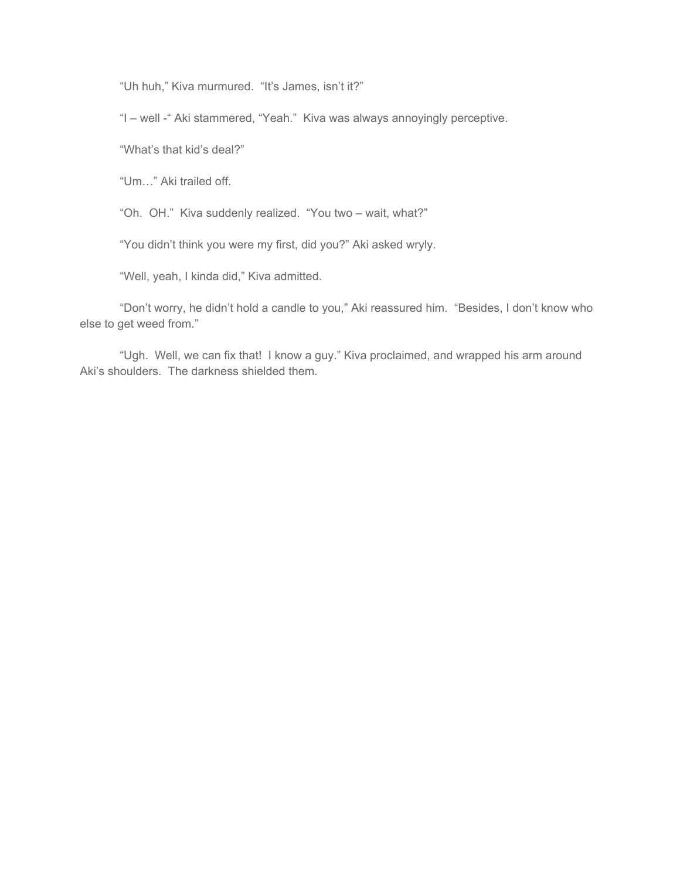"Uh huh," Kiva murmured. "It's James, isn't it?"

"I – well -" Aki stammered, "Yeah." Kiva was always annoyingly perceptive.

"What's that kid's deal?"

"Um…" Aki trailed off.

"Oh. OH." Kiva suddenly realized. "You two – wait, what?"

"You didn't think you were my first, did you?" Aki asked wryly.

"Well, yeah, I kinda did," Kiva admitted.

"Don't worry, he didn't hold a candle to you," Aki reassured him. "Besides, I don't know who else to get weed from."

"Ugh. Well, we can fix that! I know a guy." Kiva proclaimed, and wrapped his arm around Aki's shoulders. The darkness shielded them.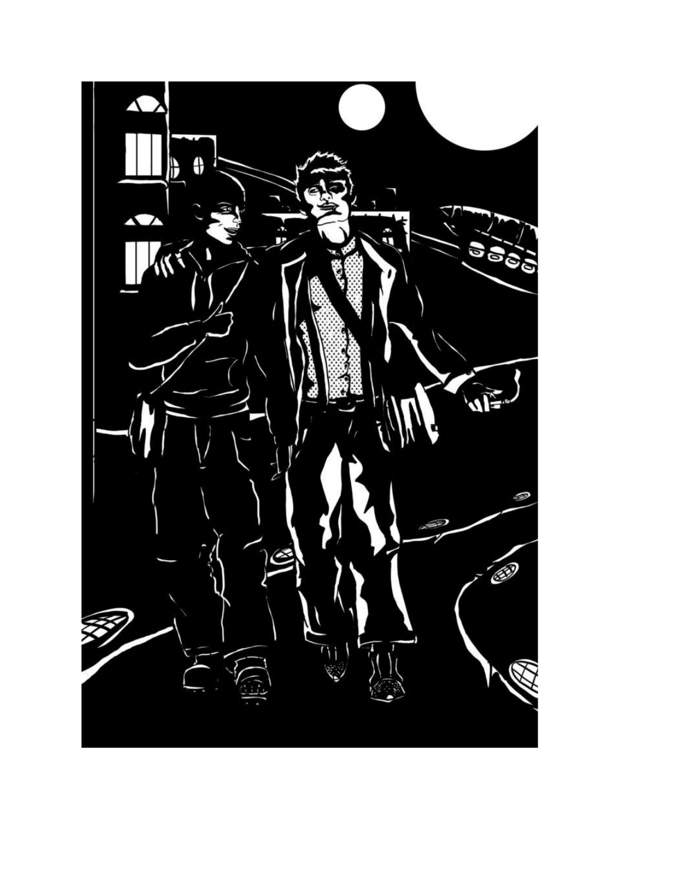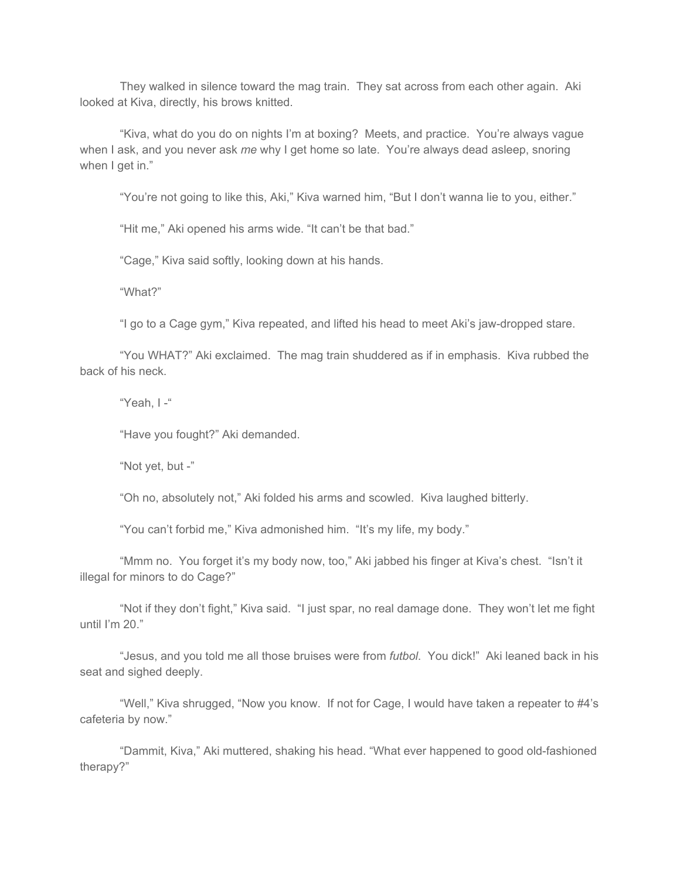They walked in silence toward the mag train. They sat across from each other again. Aki looked at Kiva, directly, his brows knitted.

"Kiva, what do you do on nights I'm at boxing? Meets, and practice. You're always vague when I ask, and you never ask *me* why I get home so late. You're always dead asleep, snoring when I get in."

"You're not going to like this, Aki," Kiva warned him, "But I don't wanna lie to you, either."

"Hit me," Aki opened his arms wide. "It can't be that bad."

"Cage," Kiva said softly, looking down at his hands.

"What?"

"I go to a Cage gym," Kiva repeated, and lifted his head to meet Aki's jaw-dropped stare.

"You WHAT?" Aki exclaimed. The mag train shuddered as if in emphasis. Kiva rubbed the back of his neck.

"Yeah, I -"

"Have you fought?" Aki demanded.

"Not yet, but -"

"Oh no, absolutely not," Aki folded his arms and scowled. Kiva laughed bitterly.

"You can't forbid me," Kiva admonished him. "It's my life, my body."

"Mmm no. You forget it's my body now, too," Aki jabbed his finger at Kiva's chest. "Isn't it illegal for minors to do Cage?"

"Not if they don't fight," Kiva said. "I just spar, no real damage done. They won't let me fight until I'm 20."

"Jesus, and you told me all those bruises were from *futbol*. You dick!" Aki leaned back in his seat and sighed deeply.

"Well," Kiva shrugged, "Now you know. If not for Cage, I would have taken a repeater to #4's cafeteria by now."

"Dammit, Kiva," Aki muttered, shaking his head. "What ever happened to good old-fashioned therapy?"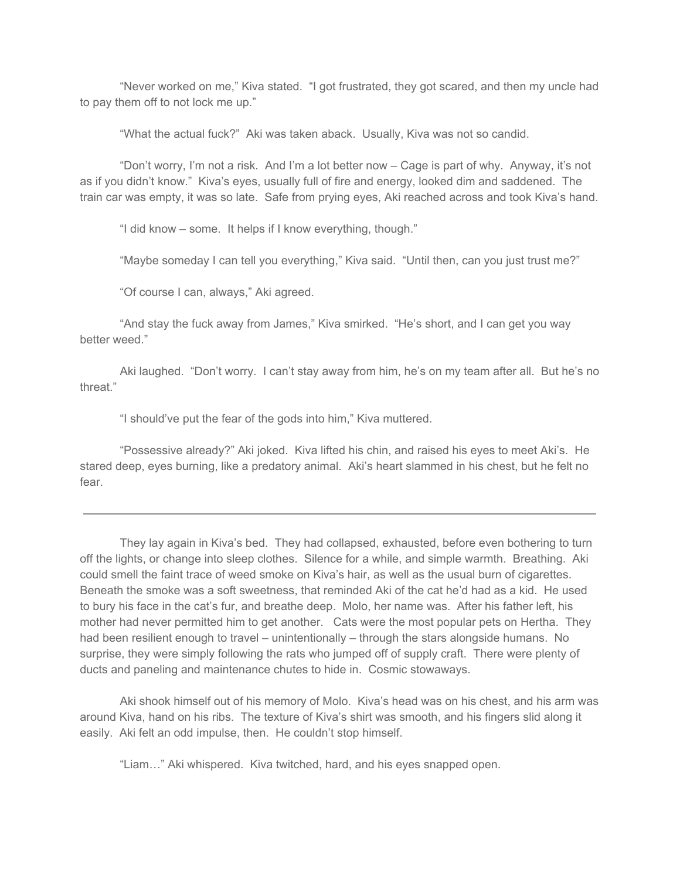"Never worked on me," Kiva stated. "I got frustrated, they got scared, and then my uncle had to pay them off to not lock me up."

"What the actual fuck?" Aki was taken aback. Usually, Kiva was not so candid.

"Don't worry, I'm not a risk. And I'm a lot better now – Cage is part of why. Anyway, it's not as if you didn't know." Kiva's eyes, usually full of fire and energy, looked dim and saddened. The train car was empty, it was so late. Safe from prying eyes, Aki reached across and took Kiva's hand.

"I did know – some. It helps if I know everything, though."

"Maybe someday I can tell you everything," Kiva said. "Until then, can you just trust me?"

"Of course I can, always," Aki agreed.

"And stay the fuck away from James," Kiva smirked. "He's short, and I can get you way better weed."

Aki laughed. "Don't worry. I can't stay away from him, he's on my team after all. But he's no threat."

"I should've put the fear of the gods into him," Kiva muttered.

"Possessive already?" Aki joked. Kiva lifted his chin, and raised his eyes to meet Aki's. He stared deep, eyes burning, like a predatory animal. Aki's heart slammed in his chest, but he felt no fear.

They lay again in Kiva's bed. They had collapsed, exhausted, before even bothering to turn off the lights, or change into sleep clothes. Silence for a while, and simple warmth. Breathing. Aki could smell the faint trace of weed smoke on Kiva's hair, as well as the usual burn of cigarettes. Beneath the smoke was a soft sweetness, that reminded Aki of the cat he'd had as a kid. He used to bury his face in the cat's fur, and breathe deep. Molo, her name was. After his father left, his mother had never permitted him to get another. Cats were the most popular pets on Hertha. They had been resilient enough to travel – unintentionally – through the stars alongside humans. No surprise, they were simply following the rats who jumped off of supply craft. There were plenty of ducts and paneling and maintenance chutes to hide in. Cosmic stowaways.

Aki shook himself out of his memory of Molo. Kiva's head was on his chest, and his arm was around Kiva, hand on his ribs. The texture of Kiva's shirt was smooth, and his fingers slid along it easily. Aki felt an odd impulse, then. He couldn't stop himself.

"Liam…" Aki whispered. Kiva twitched, hard, and his eyes snapped open.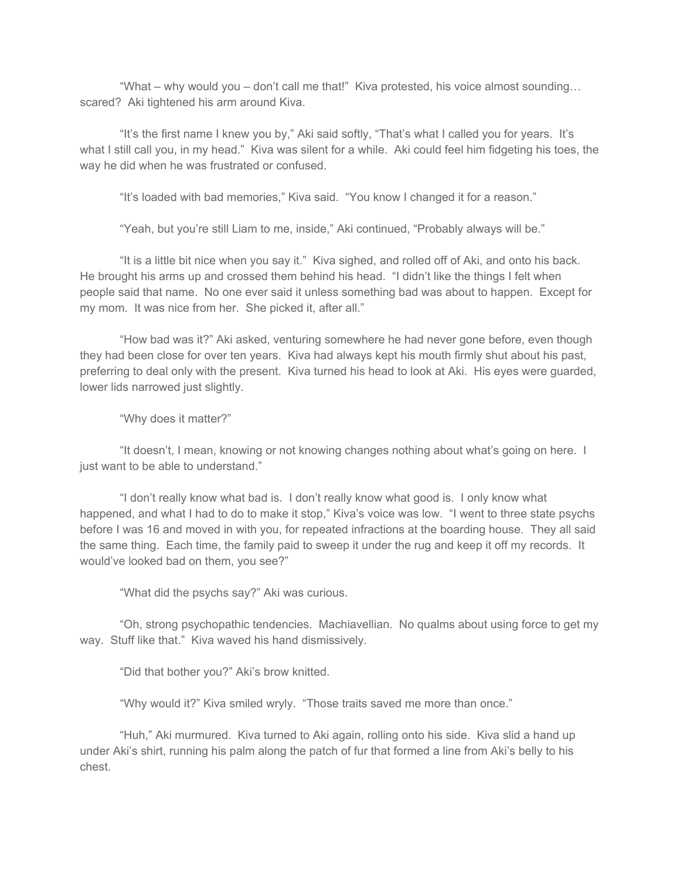"What – why would you – don't call me that!" Kiva protested, his voice almost sounding… scared? Aki tightened his arm around Kiva.

"It's the first name I knew you by," Aki said softly, "That's what I called you for years. It's what I still call you, in my head." Kiva was silent for a while. Aki could feel him fidgeting his toes, the way he did when he was frustrated or confused.

"It's loaded with bad memories," Kiva said. "You know I changed it for a reason."

"Yeah, but you're still Liam to me, inside," Aki continued, "Probably always will be."

"It is a little bit nice when you say it." Kiva sighed, and rolled off of Aki, and onto his back. He brought his arms up and crossed them behind his head. "I didn't like the things I felt when people said that name. No one ever said it unless something bad was about to happen. Except for my mom. It was nice from her. She picked it, after all."

"How bad was it?" Aki asked, venturing somewhere he had never gone before, even though they had been close for over ten years. Kiva had always kept his mouth firmly shut about his past, preferring to deal only with the present. Kiva turned his head to look at Aki. His eyes were guarded, lower lids narrowed just slightly.

"Why does it matter?"

"It doesn't, I mean, knowing or not knowing changes nothing about what's going on here. I just want to be able to understand."

"I don't really know what bad is. I don't really know what good is. I only know what happened, and what I had to do to make it stop," Kiva's voice was low. "I went to three state psychs before I was 16 and moved in with you, for repeated infractions at the boarding house. They all said the same thing. Each time, the family paid to sweep it under the rug and keep it off my records. It would've looked bad on them, you see?"

"What did the psychs say?" Aki was curious.

"Oh, strong psychopathic tendencies. Machiavellian. No qualms about using force to get my way. Stuff like that." Kiva waved his hand dismissively.

"Did that bother you?" Aki's brow knitted.

"Why would it?" Kiva smiled wryly. "Those traits saved me more than once."

"Huh," Aki murmured. Kiva turned to Aki again, rolling onto his side. Kiva slid a hand up under Aki's shirt, running his palm along the patch of fur that formed a line from Aki's belly to his chest.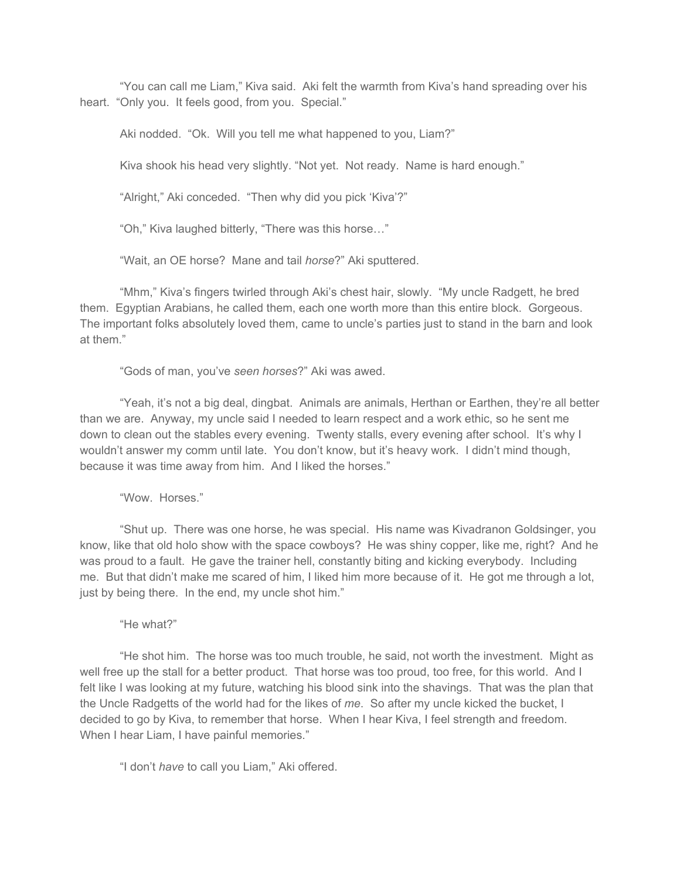"You can call me Liam," Kiva said. Aki felt the warmth from Kiva's hand spreading over his heart. "Only you. It feels good, from you. Special."

Aki nodded. "Ok. Will you tell me what happened to you, Liam?"

Kiva shook his head very slightly. "Not yet. Not ready. Name is hard enough."

"Alright," Aki conceded. "Then why did you pick 'Kiva'?"

"Oh," Kiva laughed bitterly, "There was this horse…"

"Wait, an OE horse? Mane and tail *horse*?" Aki sputtered.

"Mhm," Kiva's fingers twirled through Aki's chest hair, slowly. "My uncle Radgett, he bred them. Egyptian Arabians, he called them, each one worth more than this entire block. Gorgeous. The important folks absolutely loved them, came to uncle's parties just to stand in the barn and look at them."

"Gods of man, you've *seen horses*?" Aki was awed.

"Yeah, it's not a big deal, dingbat. Animals are animals, Herthan or Earthen, they're all better than we are. Anyway, my uncle said I needed to learn respect and a work ethic, so he sent me down to clean out the stables every evening. Twenty stalls, every evening after school. It's why I wouldn't answer my comm until late. You don't know, but it's heavy work. I didn't mind though, because it was time away from him. And I liked the horses."

"Wow. Horses."

"Shut up. There was one horse, he was special. His name was Kivadranon Goldsinger, you know, like that old holo show with the space cowboys? He was shiny copper, like me, right? And he was proud to a fault. He gave the trainer hell, constantly biting and kicking everybody. Including me. But that didn't make me scared of him, I liked him more because of it. He got me through a lot, just by being there. In the end, my uncle shot him."

### "He what?"

"He shot him. The horse was too much trouble, he said, not worth the investment. Might as well free up the stall for a better product. That horse was too proud, too free, for this world. And I felt like I was looking at my future, watching his blood sink into the shavings. That was the plan that the Uncle Radgetts of the world had for the likes of *me*. So after my uncle kicked the bucket, I decided to go by Kiva, to remember that horse. When I hear Kiva, I feel strength and freedom. When I hear Liam, I have painful memories."

"I don't *have* to call you Liam," Aki offered.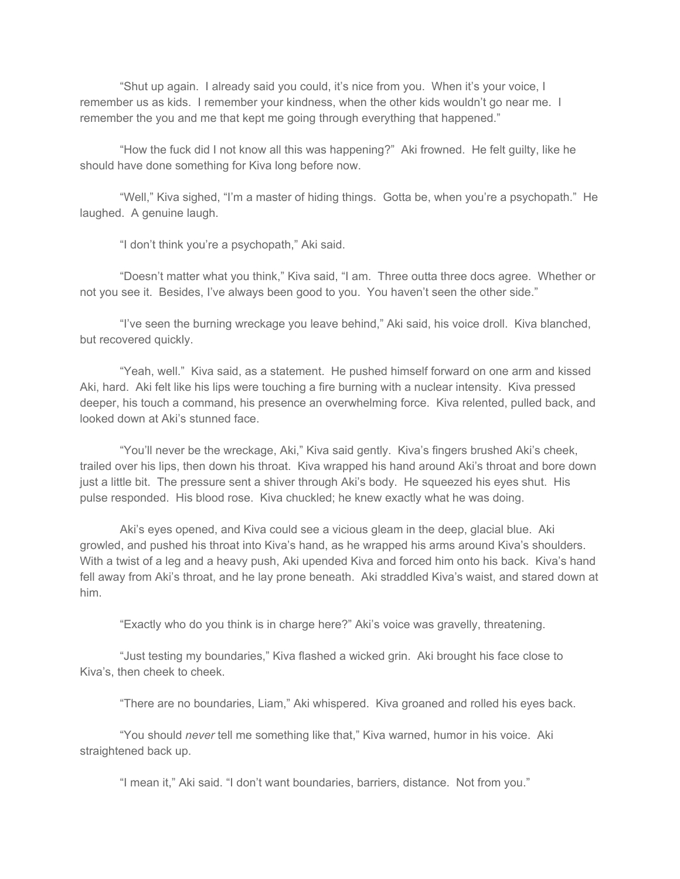"Shut up again. I already said you could, it's nice from you. When it's your voice, I remember us as kids. I remember your kindness, when the other kids wouldn't go near me. I remember the you and me that kept me going through everything that happened."

"How the fuck did I not know all this was happening?" Aki frowned. He felt guilty, like he should have done something for Kiva long before now.

"Well," Kiva sighed, "I'm a master of hiding things. Gotta be, when you're a psychopath." He laughed. A genuine laugh.

"I don't think you're a psychopath," Aki said.

"Doesn't matter what you think," Kiva said, "I am. Three outta three docs agree. Whether or not you see it. Besides, I've always been good to you. You haven't seen the other side."

"I've seen the burning wreckage you leave behind," Aki said, his voice droll. Kiva blanched, but recovered quickly.

"Yeah, well." Kiva said, as a statement. He pushed himself forward on one arm and kissed Aki, hard. Aki felt like his lips were touching a fire burning with a nuclear intensity. Kiva pressed deeper, his touch a command, his presence an overwhelming force. Kiva relented, pulled back, and looked down at Aki's stunned face.

"You'll never be the wreckage, Aki," Kiva said gently. Kiva's fingers brushed Aki's cheek, trailed over his lips, then down his throat. Kiva wrapped his hand around Aki's throat and bore down just a little bit. The pressure sent a shiver through Aki's body. He squeezed his eyes shut. His pulse responded. His blood rose. Kiva chuckled; he knew exactly what he was doing.

Aki's eyes opened, and Kiva could see a vicious gleam in the deep, glacial blue. Aki growled, and pushed his throat into Kiva's hand, as he wrapped his arms around Kiva's shoulders. With a twist of a leg and a heavy push, Aki upended Kiva and forced him onto his back. Kiva's hand fell away from Aki's throat, and he lay prone beneath. Aki straddled Kiva's waist, and stared down at him.

"Exactly who do you think is in charge here?" Aki's voice was gravelly, threatening.

"Just testing my boundaries," Kiva flashed a wicked grin. Aki brought his face close to Kiva's, then cheek to cheek.

"There are no boundaries, Liam," Aki whispered. Kiva groaned and rolled his eyes back.

"You should *never* tell me something like that," Kiva warned, humor in his voice. Aki straightened back up.

"I mean it," Aki said. "I don't want boundaries, barriers, distance. Not from you."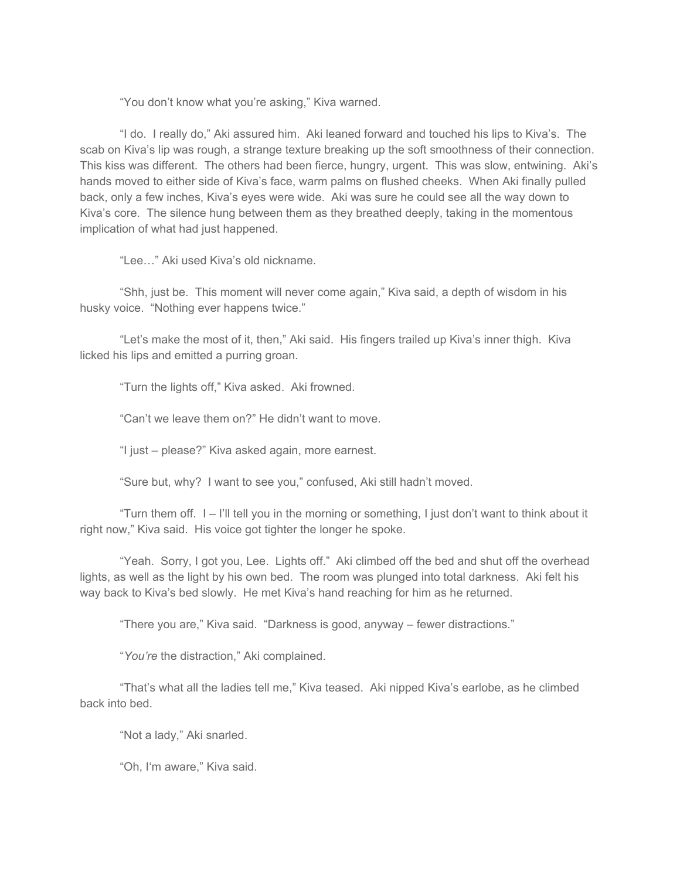"You don't know what you're asking," Kiva warned.

"I do. I really do," Aki assured him. Aki leaned forward and touched his lips to Kiva's. The scab on Kiva's lip was rough, a strange texture breaking up the soft smoothness of their connection. This kiss was different. The others had been fierce, hungry, urgent. This was slow, entwining. Aki's hands moved to either side of Kiva's face, warm palms on flushed cheeks. When Aki finally pulled back, only a few inches, Kiva's eyes were wide. Aki was sure he could see all the way down to Kiva's core. The silence hung between them as they breathed deeply, taking in the momentous implication of what had just happened.

"Lee…" Aki used Kiva's old nickname.

"Shh, just be. This moment will never come again," Kiva said, a depth of wisdom in his husky voice. "Nothing ever happens twice."

"Let's make the most of it, then," Aki said. His fingers trailed up Kiva's inner thigh. Kiva licked his lips and emitted a purring groan.

"Turn the lights off," Kiva asked. Aki frowned.

"Can't we leave them on?" He didn't want to move.

"I just – please?" Kiva asked again, more earnest.

"Sure but, why? I want to see you," confused, Aki still hadn't moved.

"Turn them off.  $I - I$ 'll tell you in the morning or something, I just don't want to think about it right now," Kiva said. His voice got tighter the longer he spoke.

"Yeah. Sorry, I got you, Lee. Lights off." Aki climbed off the bed and shut off the overhead lights, as well as the light by his own bed. The room was plunged into total darkness. Aki felt his way back to Kiva's bed slowly. He met Kiva's hand reaching for him as he returned.

"There you are," Kiva said. "Darkness is good, anyway – fewer distractions."

"*You're* the distraction," Aki complained.

"That's what all the ladies tell me," Kiva teased. Aki nipped Kiva's earlobe, as he climbed back into bed.

"Not a lady," Aki snarled.

"Oh, I'm aware," Kiva said.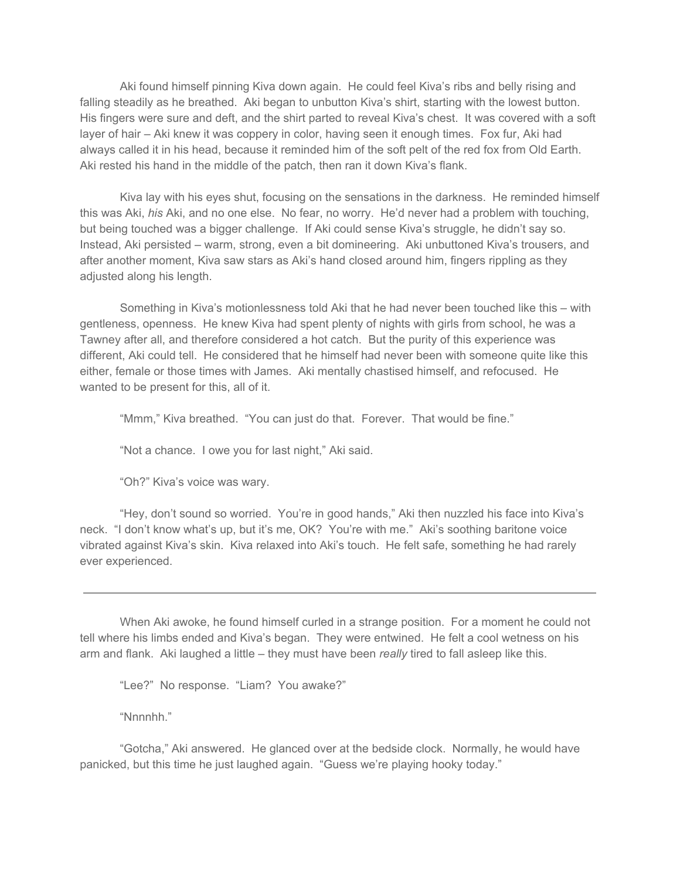Aki found himself pinning Kiva down again. He could feel Kiva's ribs and belly rising and falling steadily as he breathed. Aki began to unbutton Kiva's shirt, starting with the lowest button. His fingers were sure and deft, and the shirt parted to reveal Kiva's chest. It was covered with a soft layer of hair – Aki knew it was coppery in color, having seen it enough times. Fox fur, Aki had always called it in his head, because it reminded him of the soft pelt of the red fox from Old Earth. Aki rested his hand in the middle of the patch, then ran it down Kiva's flank.

Kiva lay with his eyes shut, focusing on the sensations in the darkness. He reminded himself this was Aki, *his* Aki, and no one else. No fear, no worry. He'd never had a problem with touching, but being touched was a bigger challenge. If Aki could sense Kiva's struggle, he didn't say so. Instead, Aki persisted – warm, strong, even a bit domineering. Aki unbuttoned Kiva's trousers, and after another moment, Kiva saw stars as Aki's hand closed around him, fingers rippling as they adjusted along his length.

Something in Kiva's motionlessness told Aki that he had never been touched like this – with gentleness, openness. He knew Kiva had spent plenty of nights with girls from school, he was a Tawney after all, and therefore considered a hot catch. But the purity of this experience was different, Aki could tell. He considered that he himself had never been with someone quite like this either, female or those times with James. Aki mentally chastised himself, and refocused. He wanted to be present for this, all of it.

"Mmm," Kiva breathed. "You can just do that. Forever. That would be fine."

"Not a chance. I owe you for last night," Aki said.

"Oh?" Kiva's voice was wary.

"Hey, don't sound so worried. You're in good hands," Aki then nuzzled his face into Kiva's neck. "I don't know what's up, but it's me, OK? You're with me." Aki's soothing baritone voice vibrated against Kiva's skin. Kiva relaxed into Aki's touch. He felt safe, something he had rarely ever experienced.

When Aki awoke, he found himself curled in a strange position. For a moment he could not tell where his limbs ended and Kiva's began. They were entwined. He felt a cool wetness on his arm and flank. Aki laughed a little – they must have been *really* tired to fall asleep like this.

"Lee?" No response. "Liam? You awake?"

"Nnnnhh."

"Gotcha," Aki answered. He glanced over at the bedside clock. Normally, he would have panicked, but this time he just laughed again. "Guess we're playing hooky today."